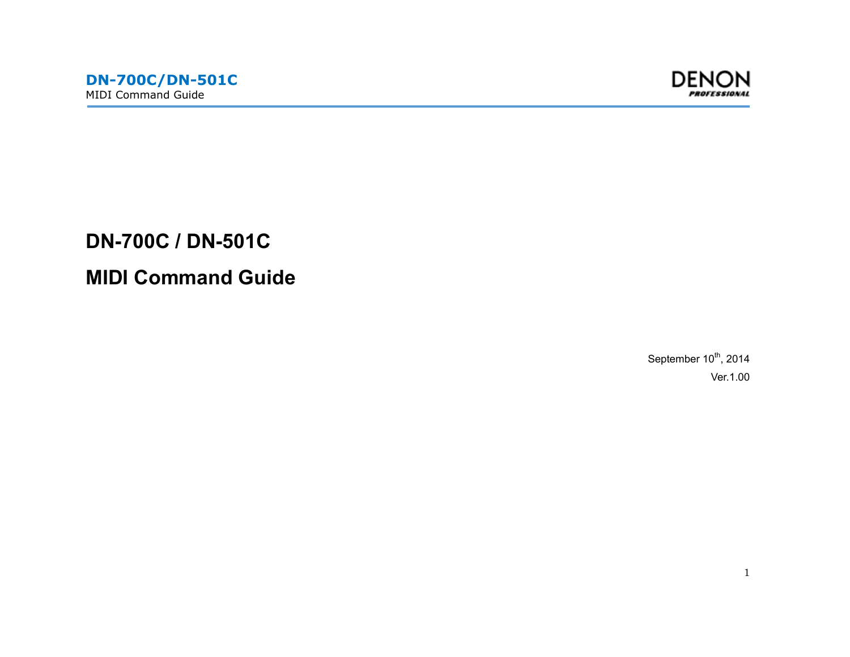

**DN-700C / DN-501C MIDI Command Guide** 

> September  $10^{th}$ , 2014 Ver.1.00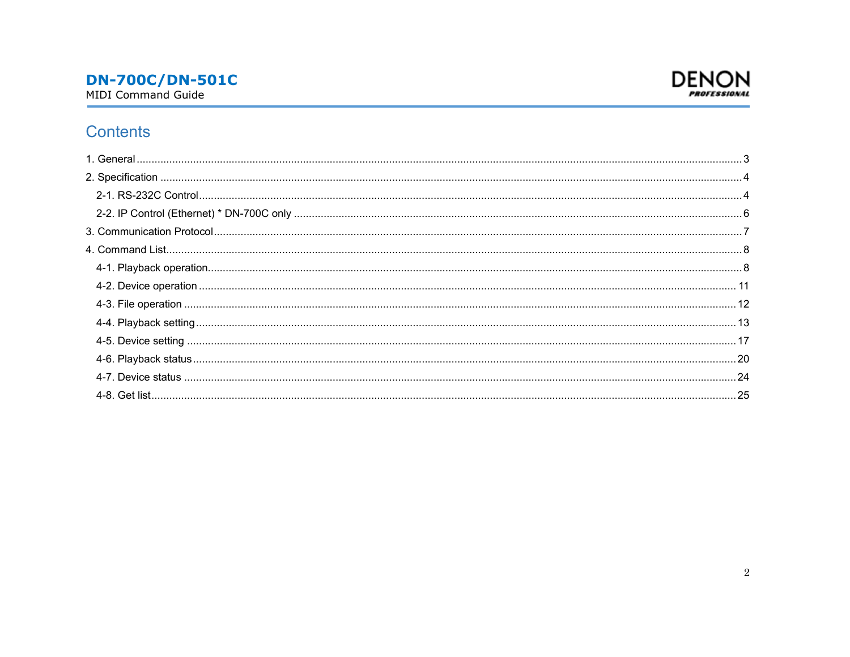

## Contents

| 24 |
|----|
|    |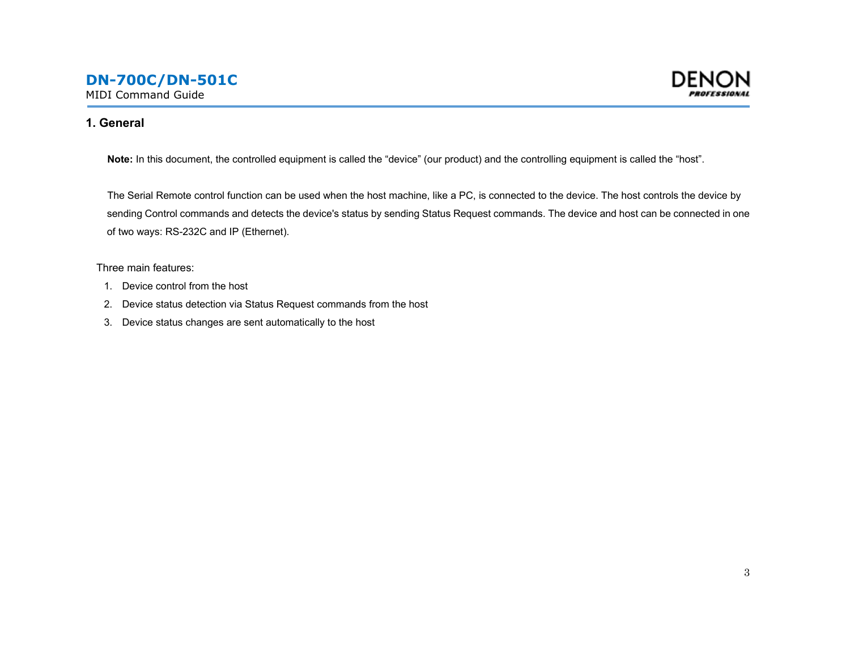

<span id="page-2-0"></span>MIDI Command Guide

#### **1. General**

**Note:** In this document, the controlled equipment is called the "device" (our product) and the controlling equipment is called the "host".

The Serial Remote control function can be used when the host machine, like a PC, is connected to the device. The host controls the device by sending Control commands and detects the device's status by sending Status Request commands. The device and host can be connected in one of two ways: RS-232C and IP (Ethernet).

Three main features:

- 1. Device control from the host
- 2. Device status detection via Status Request commands from the host
- 3. Device status changes are sent automatically to the host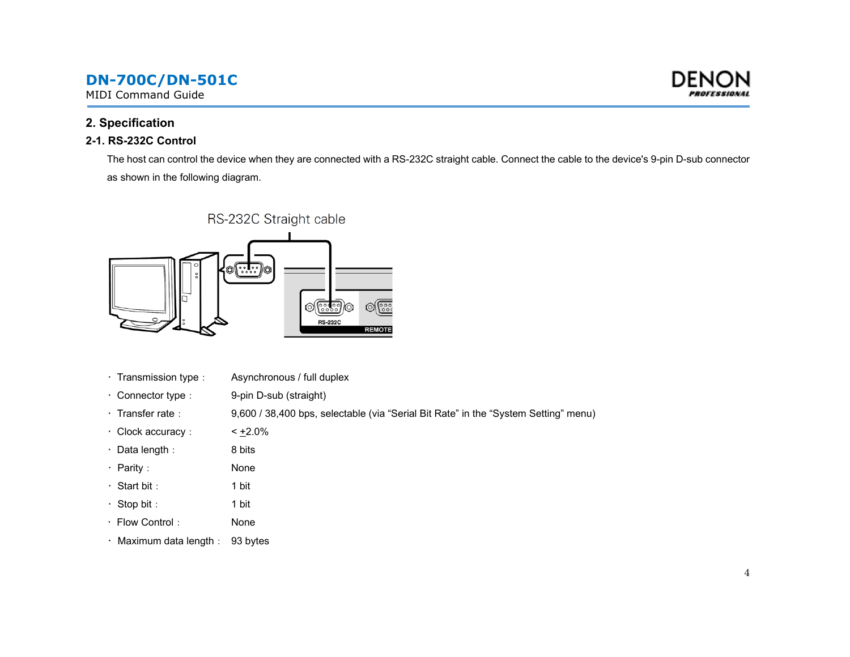<span id="page-3-0"></span>MIDI Command Guide

### **2. Specification**

### **2-1. RS-232C Control**

The host can control the device when they are connected with a RS-232C straight cable. Connect the cable to the device's 9-pin D-sub connector as shown in the following diagram.



- · Transmission type : Asynchronous / full duplex
- Connector type : 9-pin D-sub (straight)
- · Transfer rate : 9,600 / 38,400 bps, selectable (via "Serial Bit Rate" in the "System Setting" menu)
- Clock accuracy:  $\times$   $+2.0\%$
- Data length: 8 bits
- Parity: None
- Start bit: 1 bit
- Stop bit: 1 bit
- Flow Control: None
- Maximum data length: 93 bytes

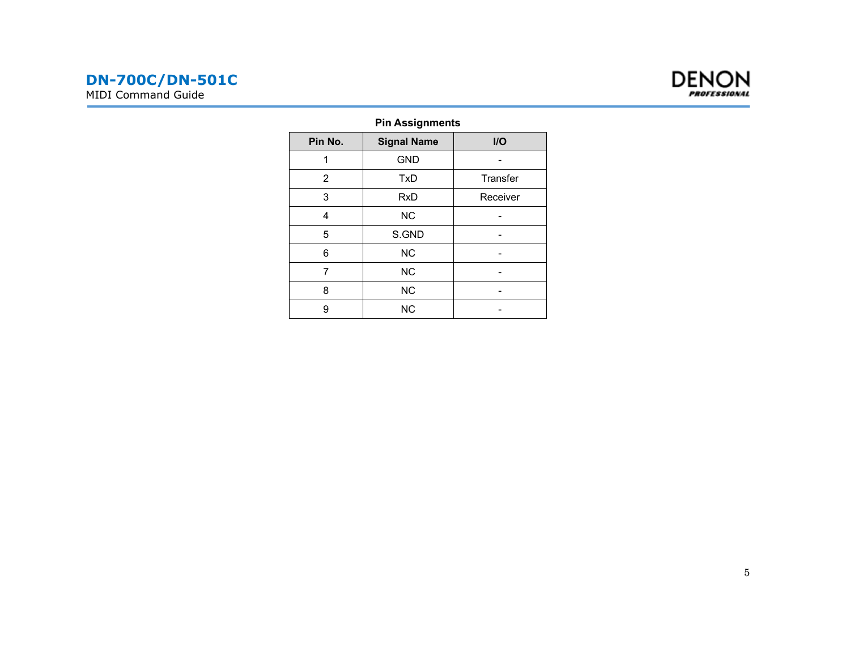

### **Pin Assignments**

| Pin No.        | <b>Signal Name</b> | $II$     |
|----------------|--------------------|----------|
|                | <b>GND</b>         |          |
| $\overline{2}$ | TxD                | Transfer |
| 3              | <b>RxD</b>         | Receiver |
| 4              | <b>NC</b>          |          |
| 5              | S.GND              |          |
| 6              | <b>NC</b>          |          |
| 7              | <b>NC</b>          |          |
| 8              | <b>NC</b>          |          |
| 9              | <b>NC</b>          |          |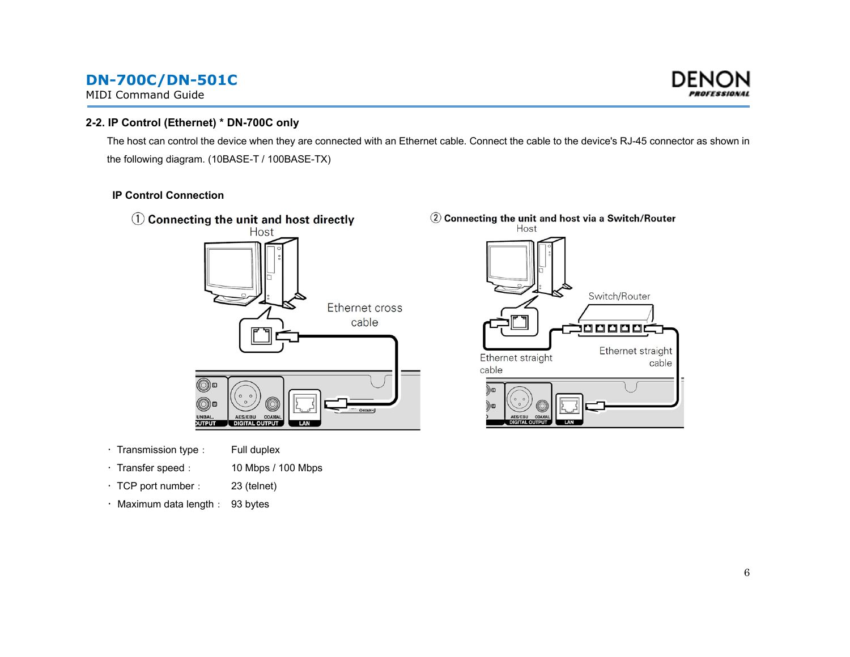<span id="page-5-0"></span>MIDI Command Guide



#### **2-2. IP Control (Ethernet) \* DN-700C only**

The host can control the device when they are connected with an Ethernet cable. Connect the cable to the device's RJ-45 connector as shown in the following diagram. (10BASE-T / 100BASE-TX)

#### **IP Control Connection**



- Transmission type: Full duplex
- · Transfer speed : 10 Mbps / 100 Mbps
- TCP port number: 23 (telnet)
- Maximum data length: 93 bytes

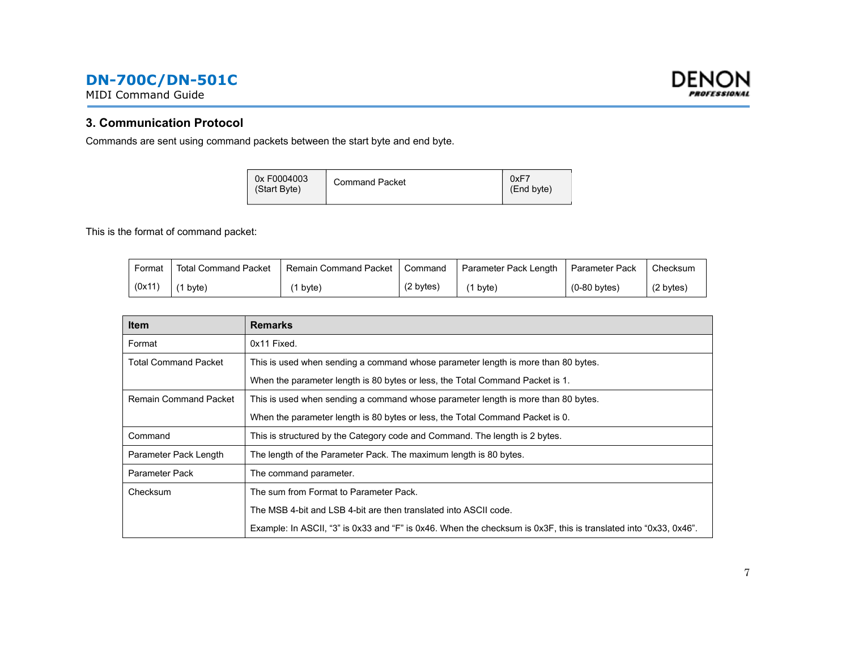<span id="page-6-0"></span>MIDI Command Guide



#### **3. Communication Protocol**

Commands are sent using command packets between the start byte and end byte.

| 0x F0004003<br>(Start Byte) | <b>Command Packet</b> | 0xF7<br>(End byte) |
|-----------------------------|-----------------------|--------------------|
|                             |                       |                    |

This is the format of command packet:

| Format | <b>Total Command Packet</b> | Remain Command Packet | Command             | Parameter Pack Length | Parameter Pack | Checksum            |
|--------|-----------------------------|-----------------------|---------------------|-----------------------|----------------|---------------------|
| (0x11) | $(1)$ byte)                 | 1 byte)               | $(2 \text{ bytes})$ | byte)                 | $(0-80$ bytes) | $(2 \text{ bytes})$ |

| <b>Item</b>                 | <b>Remarks</b>                                                                                                   |
|-----------------------------|------------------------------------------------------------------------------------------------------------------|
| Format                      | 0x11 Fixed.                                                                                                      |
| <b>Total Command Packet</b> | This is used when sending a command whose parameter length is more than 80 bytes.                                |
|                             | When the parameter length is 80 bytes or less, the Total Command Packet is 1.                                    |
| Remain Command Packet       | This is used when sending a command whose parameter length is more than 80 bytes.                                |
|                             | When the parameter length is 80 bytes or less, the Total Command Packet is 0.                                    |
| Command                     | This is structured by the Category code and Command. The length is 2 bytes.                                      |
| Parameter Pack Length       | The length of the Parameter Pack. The maximum length is 80 bytes.                                                |
| Parameter Pack              | The command parameter.                                                                                           |
| Checksum                    | The sum from Format to Parameter Pack.                                                                           |
|                             | The MSB 4-bit and LSB 4-bit are then translated into ASCII code.                                                 |
|                             | Example: In ASCII, "3" is 0x33 and "F" is 0x46. When the checksum is 0x3F, this is translated into "0x33, 0x46". |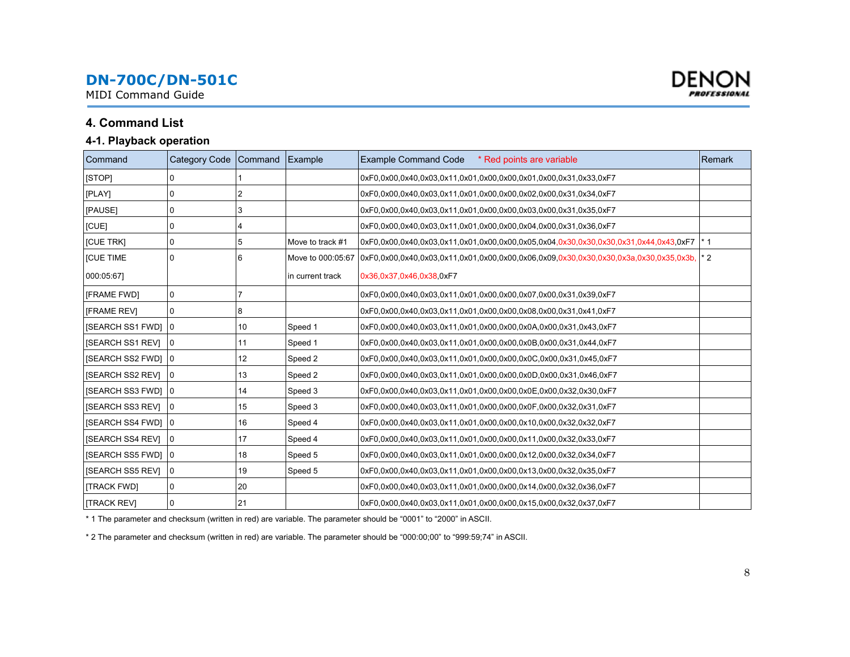<span id="page-7-0"></span>MIDI Command Guide

### **4. Command List**

#### **4-1. Playback operation**

| Command                   | Category Code Command |    | Example           | <b>Example Command Code</b><br>* Red points are variable                                  | Remark |
|---------------------------|-----------------------|----|-------------------|-------------------------------------------------------------------------------------------|--------|
| [STOP]                    |                       |    |                   | 0xF0.0x00.0x40.0x03.0x11.0x01.0x00.0x00.0x01.0x00.0x31.0x33.0xF7                          |        |
| [PLAY]                    | 0                     | 2  |                   | 0xF0.0x00.0x40.0x03.0x11.0x01.0x00.0x00.0x02.0x00.0x31.0x34.0xF7                          |        |
| [PAUSE]                   | 0                     | 3  |                   | 0xF0.0x00.0x40.0x03.0x11.0x01.0x00.0x00.0x03.0x00.0x31.0x35.0xF7                          |        |
| [CUE]                     | 0                     | 4  |                   | 0xF0.0x00.0x40.0x03.0x11.0x01.0x00.0x00.0x04.0x00.0x31.0x36.0xF7                          |        |
| [CUE TRK]                 | 0                     | 5  | Move to track #1  | 0xF0,0x00,0x40,0x03,0x11,0x01,0x00,0x00,0x005,0x04,0x30,0x30,0x30,0x31,0x44,0x43,0xF7  *1 |        |
| <b>ICUE TIME</b>          | 0                     | 6  | Move to 000:05:67 | 0xF0,0x00,0x40,0x03,0x11,0x01,0x00,0x00,0x06,0x09,0x30,0x30,0x30,0x3a,0x30,0x35,0x3b,     | * 2    |
| 000:05:671                |                       |    | in current track  | 0x36,0x37,0x46,0x38,0xF7                                                                  |        |
| <b>IFRAME FWDI</b>        | 0                     |    |                   | 0xF0.0x00.0x40.0x03.0x11.0x01.0x00.0x00.0x07.0x00.0x31.0x39.0xF7                          |        |
| <b>[FRAME REV]</b>        | 0                     | 8  |                   | 0xF0.0x00.0x40.0x03.0x11.0x01.0x00.0x00.0x08.0x00.0x31.0x41.0xF7                          |        |
| [SEARCH SS1 FWD] 0        |                       | 10 | Speed 1           | 0xF0,0x00,0x40,0x03,0x11,0x01,0x00,0x00,0x0A,0x00,0x31,0x43,0xF7                          |        |
| <b>ISEARCH SS1 REVI</b>   | 10                    | 11 | Speed 1           | 0xF0.0x00.0x40.0x03.0x11.0x01.0x00.0x00.0x0B.0x00.0x31.0x44.0xF7                          |        |
| <b>ISEARCH SS2 FWDI 0</b> |                       | 12 | Speed 2           | 0xF0.0x00.0x40.0x03.0x11.0x01.0x00.0x00.0x0C.0x00.0x31.0x45.0xF7                          |        |
| [SEARCH SS2 REV]          | $\overline{0}$        | 13 | Speed 2           | 0xF0,0x00,0x40,0x03,0x11,0x01,0x00,0x00,0x0D,0x00,0x31,0x46,0xF7                          |        |
| <b>ISEARCH SS3 FWDI 0</b> |                       | 14 | Speed 3           | 0xF0.0x00.0x40.0x03.0x11.0x01.0x00.0x00.0x0E.0x00.0x32.0x30.0xF7                          |        |
| <b>ISEARCH SS3 REVI</b>   | $\Omega$              | 15 | Speed 3           | 0xF0,0x00,0x40,0x03,0x11,0x01,0x00,0x00,0x0F,0x00,0x32,0x31,0xF7                          |        |
| [SEARCH SS4 FWD] 0        |                       | 16 | Speed 4           | 0xF0.0x00.0x40.0x03.0x11.0x01.0x00.0x00.0x10.0x00.0x32.0x32.0xF7                          |        |
| <b>ISEARCH SS4 REVI</b>   | 10                    | 17 | Speed 4           | 0xF0.0x00.0x40.0x03.0x11.0x01.0x00.0x00.0x11.0x00.0x32.0x33.0xF7                          |        |
| [SEARCH SS5 FWD] 0        |                       | 18 | Speed 5           | 0xF0,0x00,0x40,0x03,0x11,0x01,0x00,0x00,0x12,0x00,0x32,0x34,0xF7                          |        |
| [SEARCH SS5 REV]          | 10                    | 19 | Speed 5           | 0xF0,0x00,0x40,0x03,0x11,0x01,0x00,0x00,0x13,0x00,0x32,0x35,0xF7                          |        |
| [TRACK FWD]               | 0                     | 20 |                   | 0xF0.0x00.0x40.0x03.0x11.0x01.0x00.0x00.0x14.0x00.0x32.0x36.0xF7                          |        |
| <b>ITRACK REVI</b>        |                       | 21 |                   | 0xF0.0x00.0x40.0x03.0x11.0x01.0x00.0x00.0x15.0x00.0x32.0x37.0xF7                          |        |

\* 1 The parameter and checksum (written in red) are variable. The parameter should be "0001" to "2000" in ASCII.

\* 2 The parameter and checksum (written in red) are variable. The parameter should be "000:00;00" to "999:59;74" in ASCII.

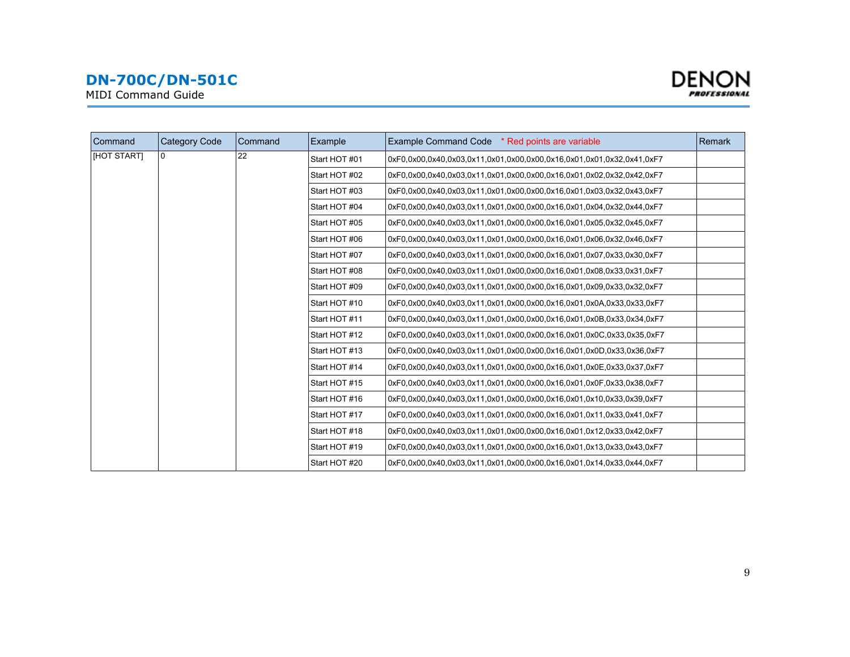MIDI Command Guide



| Command     | <b>Category Code</b> | Command | Example       | Example Command Code * Red points are variable                        | Remark |
|-------------|----------------------|---------|---------------|-----------------------------------------------------------------------|--------|
| [HOT START] | n                    | 22      | Start HOT #01 | 0xF0.0x00.0x40.0x03.0x11.0x01.0x00.0x00.0x16.0x01.0x01.0x32.0x41.0xF7 |        |
|             |                      |         | Start HOT #02 | 0xF0,0x00,0x40,0x03,0x11,0x01,0x00,0x00,0x16,0x01,0x02,0x32,0x42,0xF7 |        |
|             |                      |         | Start HOT #03 | 0xF0,0x00,0x40,0x03,0x11,0x01,0x00,0x00,0x16,0x01,0x03,0x32,0x43,0xF7 |        |
|             |                      |         | Start HOT #04 | 0xF0.0x00.0x40.0x03.0x11.0x01.0x00.0x00.0x16.0x01.0x04.0x32.0x44.0xF7 |        |
|             |                      |         | Start HOT #05 | 0xF0.0x00.0x40.0x03.0x11.0x01.0x00.0x00.0x16.0x01.0x05.0x32.0x45.0xF7 |        |
|             |                      |         | Start HOT #06 | 0xF0.0x00.0x40.0x03.0x11.0x01.0x00.0x00.0x16.0x01.0x06.0x32.0x46.0xF7 |        |
|             |                      |         | Start HOT #07 | 0xF0.0x00.0x40.0x03.0x11.0x01.0x00.0x00.0x16.0x01.0x07.0x33.0x30.0xF7 |        |
|             |                      |         | Start HOT #08 | 0xF0,0x00,0x40,0x03,0x11,0x01,0x00,0x00,0x16,0x01,0x08,0x33,0x31,0xF7 |        |
|             |                      |         | Start HOT #09 | 0xF0.0x00.0x40.0x03.0x11.0x01.0x00.0x00.0x16.0x01.0x09.0x33.0x32.0xF7 |        |
|             |                      |         | Start HOT #10 | 0xF0,0x00,0x40,0x03,0x11,0x01,0x00,0x00,0x16,0x01,0x0A,0x33,0x33,0xF7 |        |
|             |                      |         | Start HOT #11 | 0xF0,0x00,0x40,0x03,0x11,0x01,0x00,0x00,0x16,0x01,0x0B,0x33,0x34,0xF7 |        |
|             |                      |         | Start HOT #12 | 0xF0,0x00,0x40,0x03,0x11,0x01,0x00,0x00,0x16,0x01,0x0C,0x33,0x35,0xF7 |        |
|             |                      |         | Start HOT #13 | 0xF0.0x00.0x40.0x03.0x11.0x01.0x00.0x00.0x16.0x01.0x0D.0x33.0x36.0xF7 |        |
|             |                      |         | Start HOT #14 | 0xF0,0x00,0x40,0x03,0x11,0x01,0x00,0x00,0x16,0x01,0x0E,0x33,0x37,0xF7 |        |
|             |                      |         | Start HOT #15 | 0xF0,0x00,0x40,0x03,0x11,0x01,0x00,0x00,0x16,0x01,0x0F,0x33,0x38,0xF7 |        |
|             |                      |         | Start HOT #16 | 0xF0.0x00.0x40.0x03.0x11.0x01.0x00.0x00.0x16.0x01.0x10.0x33.0x39.0xF7 |        |
|             |                      |         | Start HOT #17 | 0xF0.0x00.0x40.0x03.0x11.0x01.0x00.0x00.0x16.0x01.0x11.0x33.0x41.0xF7 |        |
|             |                      |         | Start HOT #18 | 0xF0,0x00,0x40,0x03,0x11,0x01,0x00,0x00,0x16,0x01,0x12,0x33,0x42,0xF7 |        |
|             |                      |         | Start HOT #19 | 0xF0,0x00,0x40,0x03,0x11,0x01,0x00,0x00,0x16,0x01,0x13,0x33,0x43,0xF7 |        |
|             |                      |         | Start HOT #20 | 0xF0.0x00.0x40.0x03.0x11.0x01.0x00.0x00.0x16.0x01.0x14.0x33.0x44.0xF7 |        |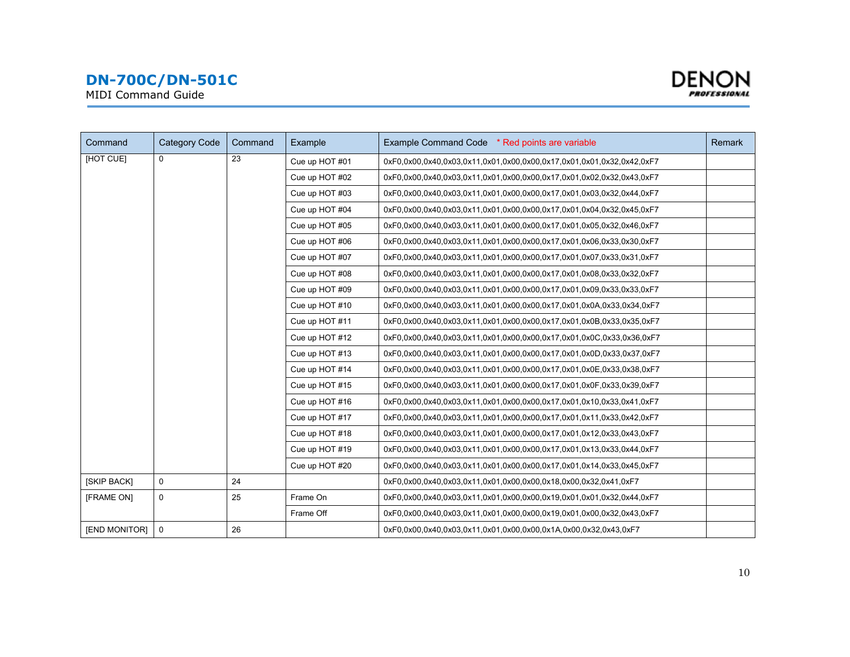



| Command       | <b>Category Code</b> | Command | Example        | Example Command Code * Red points are variable                        | Remark |
|---------------|----------------------|---------|----------------|-----------------------------------------------------------------------|--------|
| [HOT CUE]     | 0                    | 23      | Cue up HOT #01 | 0xF0.0x00.0x40.0x03.0x11.0x01.0x00.0x00.0x17.0x01.0x01.0x32.0x42.0xF7 |        |
|               |                      |         | Cue up HOT #02 | 0xF0.0x00.0x40.0x03.0x11.0x01.0x00.0x00.0x17.0x01.0x02.0x32.0x43.0xF7 |        |
|               |                      |         | Cue up HOT #03 | 0xF0,0x00,0x40,0x03,0x11,0x01,0x00,0x00,0x17,0x01,0x03,0x32,0x44,0xF7 |        |
|               |                      |         | Cue up HOT #04 | 0xF0.0x00.0x40.0x03.0x11.0x01.0x00.0x00.0x17.0x01.0x04.0x32.0x45.0xF7 |        |
|               |                      |         | Cue up HOT #05 | 0xF0.0x00.0x40.0x03.0x11.0x01.0x00.0x00.0x17.0x01.0x05.0x32.0x46.0xF7 |        |
|               |                      |         | Cue up HOT #06 | 0xF0.0x00.0x40.0x03.0x11.0x01.0x00.0x00.0x17.0x01.0x06.0x33.0x30.0xF7 |        |
|               |                      |         | Cue up HOT #07 | 0xF0.0x00.0x40.0x03.0x11.0x01.0x00.0x00.0x17.0x01.0x07.0x33.0x31.0xF7 |        |
|               |                      |         | Cue up HOT #08 | 0xF0.0x00.0x40.0x03.0x11.0x01.0x00.0x00.0x17.0x01.0x08.0x33.0x32.0xF7 |        |
|               |                      |         | Cue up HOT #09 | 0xF0.0x00.0x40.0x03.0x11.0x01.0x00.0x00.0x17.0x01.0x09.0x33.0x33.0xF7 |        |
|               |                      |         | Cue up HOT #10 | 0xF0,0x00,0x40,0x03,0x11,0x01,0x00,0x00,0x17,0x01,0x0A,0x33,0x34,0xF7 |        |
|               |                      |         | Cue up HOT #11 | 0xF0.0x00.0x40.0x03.0x11.0x01.0x00.0x00.0x17.0x01.0x0B.0x33.0x35.0xF7 |        |
|               |                      |         | Cue up HOT #12 | 0xF0.0x00.0x40.0x03.0x11.0x01.0x00.0x00.0x17.0x01.0x0C.0x33.0x36.0xF7 |        |
|               |                      |         | Cue up HOT #13 | 0xF0.0x00.0x40.0x03.0x11.0x01.0x00.0x00.0x17.0x01.0x0D.0x33.0x37.0xF7 |        |
|               |                      |         | Cue up HOT #14 | 0xF0,0x00,0x40,0x03,0x11,0x01,0x00,0x00,0x17,0x01,0x0E,0x33,0x38,0xF7 |        |
|               |                      |         | Cue up HOT #15 | 0xF0.0x00.0x40.0x03.0x11.0x01.0x00.0x00.0x17.0x01.0x0F.0x33.0x39.0xF7 |        |
|               |                      |         | Cue up HOT #16 | 0xF0.0x00.0x40.0x03.0x11.0x01.0x00.0x00.0x17.0x01.0x10.0x33.0x41.0xF7 |        |
|               |                      |         | Cue up HOT #17 | 0xF0,0x00,0x40,0x03,0x11,0x01,0x00,0x00,0x17,0x01,0x11,0x33,0x42,0xF7 |        |
|               |                      |         | Cue up HOT #18 | 0xF0,0x00,0x40,0x03,0x11,0x01,0x00,0x00,0x17,0x01,0x12,0x33,0x43,0xF7 |        |
|               |                      |         | Cue up HOT #19 | 0xF0.0x00.0x40.0x03.0x11.0x01.0x00.0x00.0x17.0x01.0x13.0x33.0x44.0xF7 |        |
|               |                      |         | Cue up HOT #20 | 0xF0,0x00,0x40,0x03,0x11,0x01,0x00,0x00,0x17,0x01,0x14,0x33,0x45,0xF7 |        |
| [SKIP BACK]   | 0                    | 24      |                | 0xF0.0x00.0x40.0x03.0x11.0x01.0x00.0x00.0x18.0x00.0x32.0x41.0xF7      |        |
| [FRAME ON]    | 0                    | 25      | Frame On       | 0xF0.0x00.0x40.0x03.0x11.0x01.0x00.0x00.0x19.0x01.0x01.0x32.0x44.0xF7 |        |
|               |                      |         | Frame Off      | 0xF0.0x00.0x40.0x03.0x11.0x01.0x00.0x00.0x19.0x01.0x00.0x32.0x43.0xF7 |        |
| [END MONITOR] | 0                    | 26      |                | 0xF0.0x00.0x40.0x03.0x11.0x01.0x00.0x00.0x1A.0x00.0x32.0x43.0xF7      |        |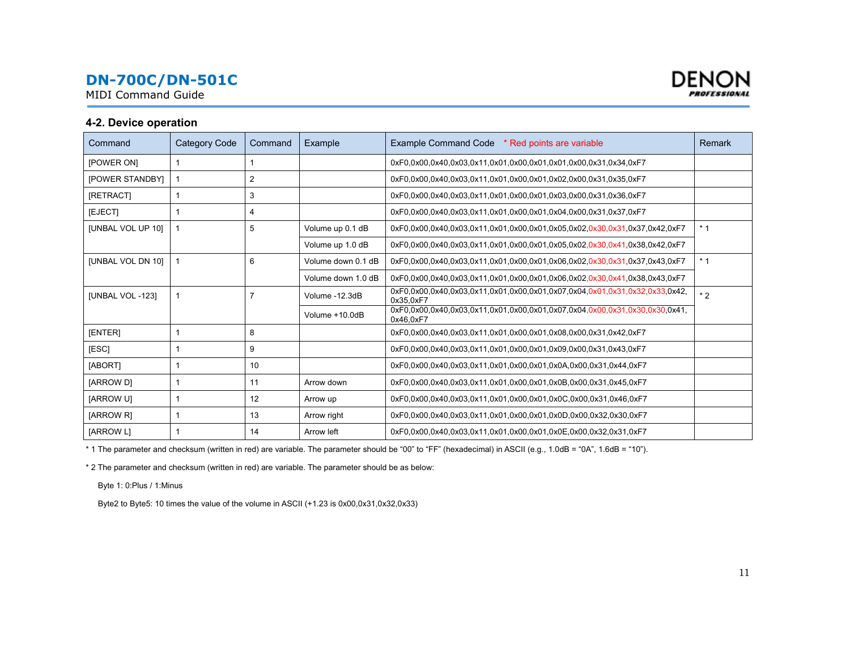<span id="page-10-0"></span>MIDI Command Guide



#### **4-2. Device operation**

| Command                | <b>Category Code</b> | Command | Example            | Example Command Code * Red points are variable                                           | Remark |
|------------------------|----------------------|---------|--------------------|------------------------------------------------------------------------------------------|--------|
| [POWER ON]             |                      |         |                    | 0xF0.0x00.0x40.0x03.0x11.0x01.0x00.0x01.0x01.0x00.0x31.0x34.0xF7                         |        |
| <b>[POWER STANDBY]</b> |                      | 2       |                    | 0xF0.0x00.0x40.0x03.0x11.0x01.0x00.0x01.0x02.0x00.0x31.0x35.0xF7                         |        |
| [RETRACT]              |                      | 3       |                    | 0xF0.0x00.0x40.0x03.0x11.0x01.0x00.0x01.0x03.0x00.0x31.0x36.0xF7                         |        |
| [EJECT]                |                      | 4       |                    | 0xF0.0x00.0x40.0x03.0x11.0x01.0x00.0x01.0x04.0x00.0x31.0x37.0xF7                         |        |
| [UNBAL VOL UP 10]      |                      | 5       | Volume up 0.1 dB   | 0xF0,0x00,0x40,0x03,0x11,0x01,0x00,0x01,0x05,0x02,0x30,0x31,0x37,0x42,0xF7               | $*1$   |
|                        |                      |         | Volume up 1.0 dB   | 0xF0.0x00.0x40.0x03.0x11.0x01.0x00.0x01.0x05.0x02.0x30.0x41.0x38.0x42.0xF7               |        |
| [UNBAL VOL DN 10]      |                      | 6       | Volume down 0.1 dB | 0xF0,0x00,0x40,0x03,0x11,0x01,0x00,0x01,0x06,0x02,0x30,0x31,0x37,0x43,0xF7               | $*1$   |
|                        |                      |         | Volume down 1.0 dB | 0xF0.0x00.0x40.0x03.0x11.0x01.0x00.0x01.0x06.0x02.0x30.0x41.0x38.0x43.0xF7               |        |
| [UNBAL VOL -123]       |                      |         | Volume -12.3dB     | 0xF0,0x00,0x40,0x03,0x11,0x01,0x00,0x01,0x07,0x04,0x01,0x31,0x32,0x33,0x42,<br>0x35.0xF7 | $*2$   |
|                        |                      |         | Volume +10.0dB     | 0xF0,0x00,0x40,0x03,0x11,0x01,0x00,0x01,0x07,0x04,0x00,0x31,0x30,0x30,0x41,<br>0x46,0xF7 |        |
| <b>[ENTER]</b>         |                      | 8       |                    | 0xF0.0x00.0x40.0x03.0x11.0x01.0x00.0x01.0x08.0x00.0x31.0x42.0xF7                         |        |
| [ESC]                  |                      | 9       |                    | 0xF0.0x00.0x40.0x03.0x11.0x01.0x00.0x01.0x09.0x00.0x31.0x43.0xF7                         |        |
| [ABORT]                |                      | 10      |                    | 0xF0.0x00.0x40.0x03.0x11.0x01.0x00.0x01.0x0A.0x00.0x31.0x44.0xF7                         |        |
| [ARROW D]              |                      | 11      | Arrow down         | 0xF0.0x00.0x40.0x03.0x11.0x01.0x00.0x01.0x0B.0x00.0x31.0x45.0xF7                         |        |
| <b>IARROW UI</b>       |                      | 12      | Arrow up           | 0xF0.0x00.0x40.0x03.0x11.0x01.0x00.0x01.0x0C.0x00.0x31.0x46.0xF7                         |        |
| [ARROW R]              |                      | 13      | Arrow right        | 0xF0.0x00.0x40.0x03.0x11.0x01.0x00.0x01.0x0D.0x00.0x32.0x30.0xF7                         |        |
| [ARROW L]              |                      | 14      | Arrow left         | 0xF0.0x00.0x40.0x03.0x11.0x01.0x00.0x01.0x0E.0x00.0x32.0x31.0xF7                         |        |

\* 1 The parameter and checksum (written in red) are variable. The parameter should be "00" to "FF" (hexadecimal) in ASCII (e.g., 1.0dB = "0A", 1.6dB = "10").

\* 2 The parameter and checksum (written in red) are variable. The parameter should be as below:

Byte 1: 0:Plus / 1:Minus

Byte2 to Byte5: 10 times the value of the volume in ASCII (+1.23 is 0x00,0x31,0x32,0x33)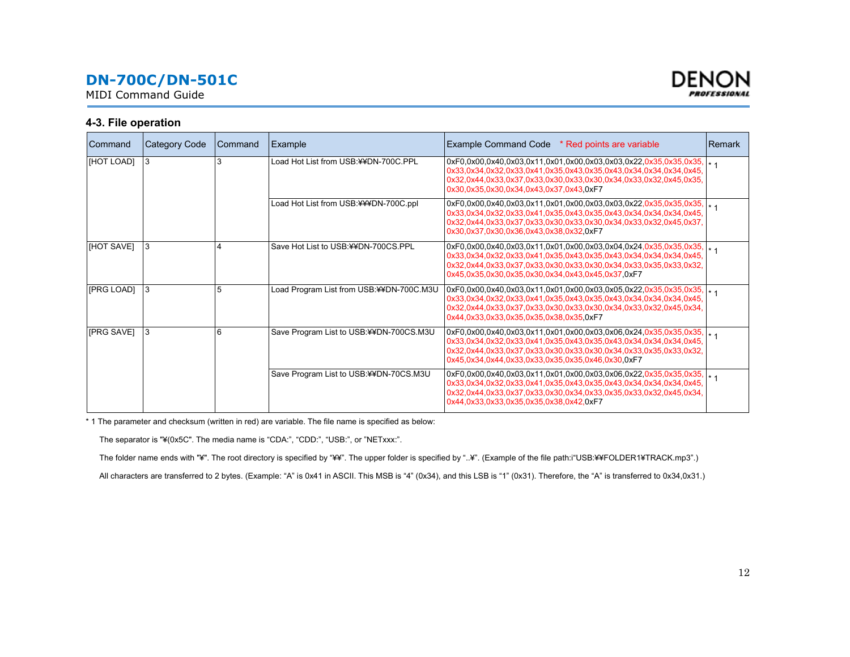<span id="page-11-0"></span>MIDI Command Guide



#### **4-3. File operation**

| Command    | <b>Category Code</b> | Command | Example                                  | Example Command Code * Red points are variable                                                                                                                                                                                                                       | <b>Remark</b> |
|------------|----------------------|---------|------------------------------------------|----------------------------------------------------------------------------------------------------------------------------------------------------------------------------------------------------------------------------------------------------------------------|---------------|
| [HOT LOAD] | 3                    |         | Load Hot List from USB:¥¥DN-700C.PPL     | 0xF0,0x00,0x40,0x03,0x11,0x01,0x00,0x03,0x03,0x22,0x35,0x35,0x35, x 1<br>0x33,0x34,0x32,0x33,0x41,0x35,0x43,0x35,0x43,0x34,0x34,0x34,0x45,<br>0x32,0x44,0x33,0x37,0x33,0x30,0x33,0x30,0x34,0x33,0x32,0x45,0x35,<br>0x30,0x35,0x30,0x34,0x43,0x37,0x43,0xF7           |               |
|            |                      |         | Load Hot List from USB:¥¥¥DN-700C.ppl    | 0xF0,0x00,0x40,0x03,0x11,0x01,0x00,0x03,0x03,0x22,0x35,0x35,0x35,  * 4<br>0x33,0x34,0x32,0x33,0x41,0x35,0x43,0x35,0x43,0x34,0x34,0x34,0x45,<br>0x32,0x44,0x33,0x37,0x33,0x30,0x33,0x30,0x34,0x33,0x32,0x45,0x37,<br>0x30,0x37,0x30,0x36,0x43,0x38,0x32,0xF7          |               |
| [HOT SAVE] | 3                    |         | Save Hot List to USB: ¥¥DN-700CS.PPL     | $0xF0,0x00,0x40,0x03,0x11,0x01,0x00,0x03,0x04,0x24,0x35,0x35,0x35,1$<br>0x33,0x34,0x32,0x33,0x41,0x35,0x43,0x35,0x43,0x34,0x34,0x34,0x45,<br>0x32,0x44,0x33,0x37,0x33,0x30,0x33,0x30,0x34,0x33,0x35,0x33,0x32,<br>0x45.0x35.0x30.0x35.0x30.0x34.0x43.0x45.0x37.0xF7  |               |
| [PRG LOAD] | 3                    | 5       | Load Program List from USB:¥¥DN-700C.M3U | 0xF0,0x00,0x40,0x03,0x11,0x01,0x00,0x03,0x05,0x22,0x35,0x35,0x35,  * 1<br>0x33,0x34,0x32,0x33,0x41,0x35,0x43,0x35,0x43,0x34,0x34,0x34,0x45,<br>0x32,0x44,0x33,0x37,0x33,0x30,0x33,0x30,0x34,0x33,0x32,0x45,0x34,<br>0x44,0x33,0x33,0x35,0x35,0x38,0x35,0xF7          |               |
| [PRG SAVE] | 3                    | 6       | Save Program List to USB:¥¥DN-700CS.M3U  | 0xF0,0x00,0x40,0x03,0x11,0x01,0x00,0x03,0x06,0x24,0x35,0x35,0x35, x 1<br>0x33,0x34,0x32,0x33,0x41,0x35,0x43,0x35,0x43,0x34,0x34,0x34,0x45,<br>0x32,0x44,0x33,0x37,0x33,0x30,0x33,0x30,0x34,0x33,0x35,0x33,0x32,<br>0x45.0x34.0x44.0x33.0x33.0x35.0x35.0x46.0x30.0xF7 |               |
|            |                      |         | Save Program List to USB:¥¥DN-70CS.M3U   | $0xF0,0x00,0x40,0x03,0x11,0x01,0x00,0x03,0x06,0x22,0x35,0x35,0x35,1$<br>0x33,0x34,0x32,0x33,0x41,0x35,0x43,0x35,0x43,0x34,0x34,0x34,0x45,<br>0x32,0x44,0x33,0x37,0x33,0x30,0x34,0x33,0x35,0x33,0x32,0x45,0x34,<br>0x44,0x33,0x33,0x35,0x35,0x38,0x42,0xF7            |               |

\* 1 The parameter and checksum (written in red) are variable. The file name is specified as below:

The separator is "¥(0x5C". The media name is "CDA:", "CDD:", "USB:", or "NETxxx:".

The folder name ends with "¥". The root directory is specified by "¥¥". The upper folder is specified by "..¥". (Example of the file path:i"USB:¥¥FOLDER1¥TRACK.mp3".)

All characters are transferred to 2 bytes. (Example: "A" is 0x41 in ASCII. This MSB is "4" (0x34), and this LSB is "1" (0x31). Therefore, the "A" is transferred to 0x34,0x31.)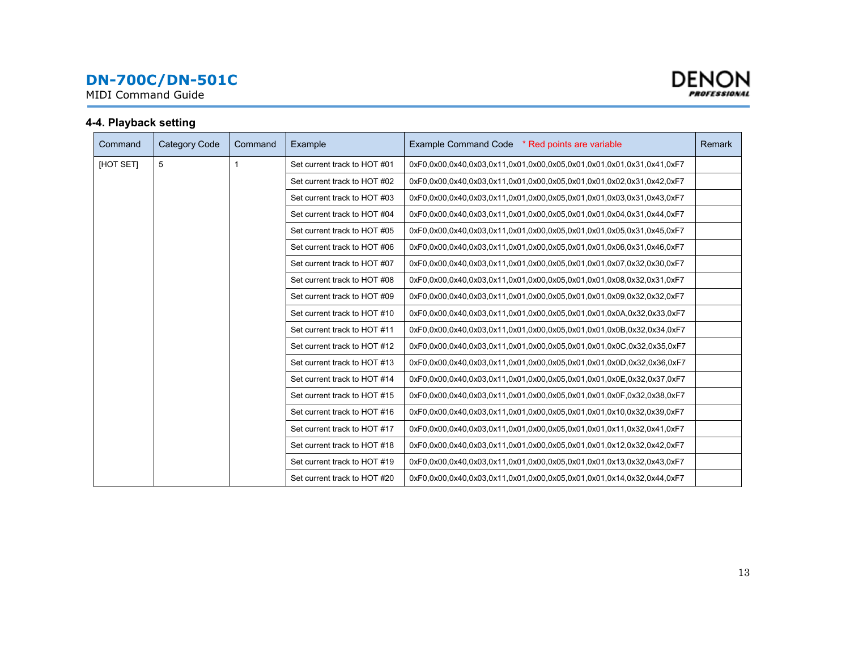<span id="page-12-0"></span>MIDI Command Guide



### **4-4. Playback setting**

| Command          | Category Code | Command | Example                      | Example Command Code * Red points are variable                        | <b>Remark</b> |
|------------------|---------------|---------|------------------------------|-----------------------------------------------------------------------|---------------|
| <b>IHOT SETI</b> | 5             |         | Set current track to HOT #01 | 0xF0,0x00,0x40,0x03,0x11,0x01,0x00,0x05,0x01,0x01,0x01,0x31,0x41,0xF7 |               |
|                  |               |         | Set current track to HOT #02 | 0xF0.0x00.0x40.0x03.0x11.0x01.0x00.0x05.0x01.0x01.0x02.0x31.0x42.0xF7 |               |
|                  |               |         | Set current track to HOT #03 | 0xF0.0x00.0x40.0x03.0x11.0x01.0x00.0x05.0x01.0x01.0x03.0x31.0x43.0xF7 |               |
|                  |               |         | Set current track to HOT #04 | 0xF0.0x00.0x40.0x03.0x11.0x01.0x00.0x05.0x01.0x01.0x04.0x31.0x44.0xF7 |               |
|                  |               |         | Set current track to HOT #05 | 0xF0.0x00.0x40.0x03.0x11.0x01.0x00.0x05.0x01.0x01.0x05.0x31.0x45.0xF7 |               |
|                  |               |         | Set current track to HOT #06 | 0xF0.0x00.0x40.0x03.0x11.0x01.0x00.0x05.0x01.0x01.0x06.0x31.0x46.0xF7 |               |
|                  |               |         | Set current track to HOT #07 | 0xF0.0x00.0x40.0x03.0x11.0x01.0x00.0x05.0x01.0x01.0x07.0x32.0x30.0xF7 |               |
|                  |               |         | Set current track to HOT #08 | 0xF0.0x00.0x40.0x03.0x11.0x01.0x00.0x05.0x01.0x01.0x08.0x32.0x31.0xF7 |               |
|                  |               |         | Set current track to HOT #09 | 0xF0.0x00.0x40.0x03.0x11.0x01.0x00.0x05.0x01.0x01.0x09.0x32.0x57      |               |
|                  |               |         | Set current track to HOT #10 | 0xF0.0x00.0x40.0x03.0x11.0x01.0x00.0x05.0x01.0x01.0x0A.0x32.0x33.0xF7 |               |
|                  |               |         | Set current track to HOT #11 | 0xF0.0x00.0x40.0x03.0x11.0x01.0x00.0x05.0x01.0x01.0x0B.0x32.0x34.0xF7 |               |
|                  |               |         | Set current track to HOT #12 | 0xF0.0x00.0x40.0x03.0x11.0x01.0x00.0x05.0x01.0x01.0x0C.0x32.0x35.0xF7 |               |
|                  |               |         | Set current track to HOT #13 | 0xF0.0x00.0x40.0x03.0x11.0x01.0x00.0x05.0x01.0x01.0x0D.0x32.0x36.0xF7 |               |
|                  |               |         | Set current track to HOT #14 | 0xF0.0x00.0x40.0x03.0x11.0x01.0x00.0x05.0x01.0x01.0x0E.0x32.0x37.0xF7 |               |
|                  |               |         | Set current track to HOT #15 | 0xF0,0x00,0x40,0x03,0x11,0x01,0x00,0x05,0x01,0x01,0x0F,0x32,0x38,0xF7 |               |
|                  |               |         | Set current track to HOT #16 | 0xF0.0x00.0x40.0x03.0x11.0x01.0x00.0x05.0x01.0x01.0x10.0x32.0x39.0xF7 |               |
|                  |               |         | Set current track to HOT #17 | 0xF0,0x00,0x40,0x03,0x11,0x01,0x00,0x05,0x01,0x01,0x11,0x32,0x41,0xF7 |               |
|                  |               |         | Set current track to HOT #18 | 0xF0.0x00.0x40.0x03.0x11.0x01.0x00.0x05.0x01.0x01.0x12.0x32.0x42.0xF7 |               |
|                  |               |         | Set current track to HOT #19 | 0xF0.0x00.0x40.0x03.0x11.0x01.0x00.0x05.0x01.0x01.0x13.0x32.0x43.0xF7 |               |
|                  |               |         | Set current track to HOT #20 | 0xF0.0x00.0x40.0x03.0x11.0x01.0x00.0x05.0x01.0x01.0x14.0x32.0x44.0xF7 |               |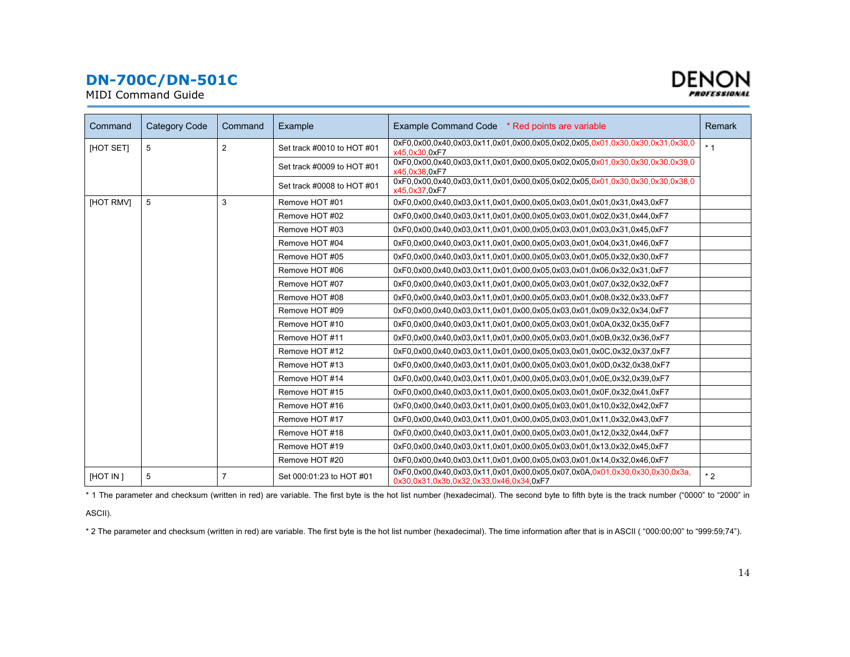MIDI Command Guide



| Command          | <b>Category Code</b> | Command        | Example                    | Example Command Code * Red points are variable                                                                         | Remark |
|------------------|----------------------|----------------|----------------------------|------------------------------------------------------------------------------------------------------------------------|--------|
|                  |                      |                |                            |                                                                                                                        |        |
| [HOT SET]        | 5                    | $\overline{2}$ | Set track #0010 to HOT #01 | 0xF0.0x00.0x40.0x03.0x11.0x01.0x00.0x05.0x02.0x05.0x01.0x30.0x30.0x31.0x30.0<br>x45.0x30.0xF7                          | $*1$   |
|                  |                      |                | Set track #0009 to HOT #01 | 0xF0.0x00.0x40.0x03.0x11.0x01.0x00.0x05.0x02.0x05.0x01.0x30.0x30.0x30.0x39.0<br>x45,0x38,0xF7                          |        |
|                  |                      |                | Set track #0008 to HOT #01 | 0xF0.0x00.0x40.0x03.0x11.0x01.0x00.0x05.0x02.0x05.0x01.0x30.0x30.0x30.0x38.0<br>x45,0x37,0xF7                          |        |
| <b>IHOT RMVI</b> | 5                    | 3              | Remove HOT #01             | 0xF0.0x00.0x40.0x03.0x11.0x01.0x00.0x05.0x03.0x01.0x01.0x31.0x43.0xF7                                                  |        |
|                  |                      |                | Remove HOT #02             | 0xF0.0x00.0x40.0x03.0x11.0x01.0x00.0x05.0x03.0x01.0x02.0x31.0x44.0xF7                                                  |        |
|                  |                      |                | Remove HOT #03             | 0xF0.0x00.0x40.0x03.0x11.0x01.0x00.0x05.0x03.0x01.0x03.0x31.0x45.0xF7                                                  |        |
|                  |                      |                | Remove HOT #04             | 0xF0.0x00.0x40.0x03.0x11.0x01.0x00.0x05.0x03.0x01.0x04.0x31.0x46.0xF7                                                  |        |
|                  |                      |                | Remove HOT #05             | 0xF0.0x00.0x40.0x03.0x11.0x01.0x00.0x05.0x03.0x01.0x05.0x32.0x30.0xF7                                                  |        |
|                  |                      |                | Remove HOT #06             | 0xF0.0x00.0x40.0x03.0x11.0x01.0x00.0x05.0x03.0x01.0x06.0x32.0x31.0xF7                                                  |        |
|                  |                      |                | Remove HOT #07             | 0xF0.0x00.0x40.0x03.0x11.0x01.0x00.0x05.0x03.0x01.0x07.0x32.0x52.0xF7                                                  |        |
|                  |                      |                | Remove HOT #08             | 0xF0.0x00.0x40.0x03.0x11.0x01.0x00.0x05.0x03.0x01.0x08.0x32.0x33.0xF7                                                  |        |
|                  |                      |                | Remove HOT #09             | 0xF0.0x00.0x40.0x03.0x11.0x01.0x00.0x05.0x03.0x01.0x09.0x32.0x34.0xF7                                                  |        |
|                  |                      |                | Remove HOT #10             | 0xF0.0x00.0x40.0x03.0x11.0x01.0x00.0x05.0x03.0x01.0x0A.0x32.0x35.0xF7                                                  |        |
|                  |                      |                | Remove HOT #11             | 0xF0.0x00.0x40.0x03.0x11.0x01.0x00.0x05.0x03.0x01.0x0B.0x32.0x36.0xF7                                                  |        |
|                  |                      |                | Remove HOT #12             | 0xF0.0x00.0x40.0x03.0x11.0x01.0x00.0x05.0x03.0x01.0x0C.0x32.0x37.0xF7                                                  |        |
|                  |                      |                | Remove HOT #13             | 0xF0.0x00.0x40.0x03.0x11.0x01.0x00.0x05.0x03.0x01.0x0D.0x32.0x38.0xF7                                                  |        |
|                  |                      |                | Remove HOT #14             | 0xF0.0x00.0x40.0x03.0x11.0x01.0x00.0x05.0x03.0x01.0x0E.0x32.0x39.0xF7                                                  |        |
|                  |                      |                | Remove HOT #15             | 0xF0.0x00.0x40.0x03.0x11.0x01.0x00.0x05.0x03.0x01.0x0F.0x32.0x41.0xF7                                                  |        |
|                  |                      |                | Remove HOT #16             | 0xF0.0x00.0x40.0x03.0x11.0x01.0x00.0x05.0x03.0x01.0x10.0x32.0x42.0xF7                                                  |        |
|                  |                      |                | Remove HOT #17             | 0xF0.0x00.0x40.0x03.0x11.0x01.0x00.0x05.0x03.0x01.0x11.0x32.0x43.0xF7                                                  |        |
|                  |                      |                | Remove HOT #18             | 0xF0.0x00.0x40.0x03.0x11.0x01.0x00.0x05.0x03.0x01.0x12.0x32.0x44.0xF7                                                  |        |
|                  |                      |                | Remove HOT #19             | 0xF0.0x00.0x40.0x03.0x11.0x01.0x00.0x05.0x03.0x01.0x13.0x32.0x45.0xF7                                                  |        |
|                  |                      |                | Remove HOT #20             | 0xF0.0x00.0x40.0x03.0x11.0x01.0x00.0x05.0x03.0x01.0x14.0x32.0x46.0xF7                                                  |        |
| <b>IHOT IN 1</b> | 5                    | $\overline{7}$ | Set 000:01:23 to HOT #01   | 0xF0.0x00.0x40.0x03.0x11.0x01.0x00.0x05.0x07.0x0A.0x01.0x30.0x30.0x30.0x3a.<br>0x30,0x31,0x3b,0x32,0x33,0x46,0x34,0xF7 | $*2$   |

\* 1 The parameter and checksum (written in red) are variable. The first byte is the hot list number (hexadecimal). The second byte to fifth byte is the track number ("0000" to "2000" in

ASCII).

\* 2 The parameter and checksum (written in red) are variable. The first byte is the hot list number (hexadecimal). The time information after that is in ASCII ( "000:00;00" to "999:59;74").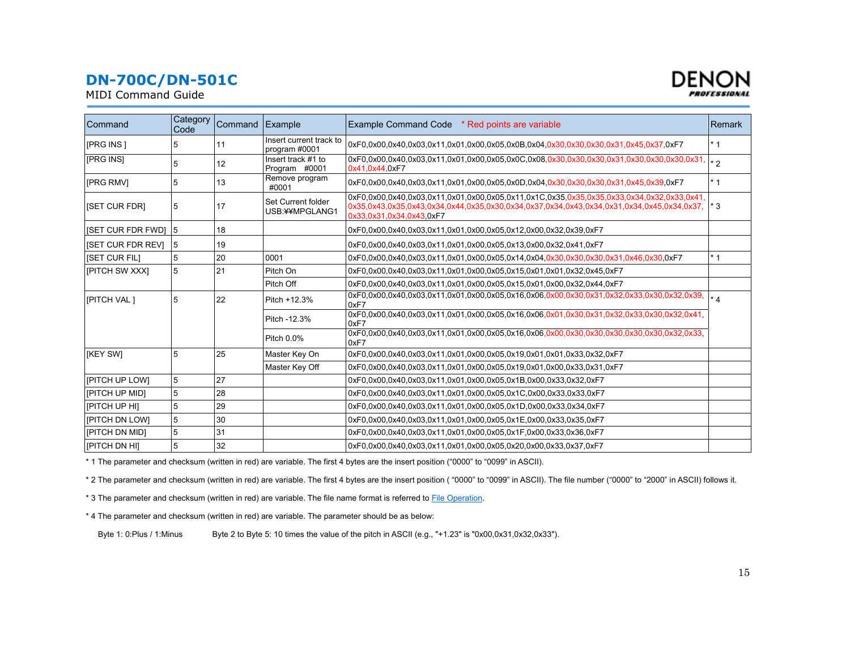MIDI Command Guide



| Command                  | Category<br>Code | Command | Example                                  | <b>Example Command Code</b><br>* Red points are variable                                                                                                                                                             | <b>Remark</b> |
|--------------------------|------------------|---------|------------------------------------------|----------------------------------------------------------------------------------------------------------------------------------------------------------------------------------------------------------------------|---------------|
| [PRG INS]                | 5                | 11      | Insert current track to<br>program #0001 | 0xF0.0x00.0x40.0x03.0x11.0x01.0x00.0x05.0x0B.0x04.0x30.0x30.0x30.0x31.0x45.0x37.0xF7                                                                                                                                 | $*1$          |
| [PRG INS]                | 5                | 12      | Insert track #1 to<br>Program #0001      | 0xF0,0x00,0x40,0x03,0x11,0x01,0x00,0x05,0x0C,0x08,0x30,0x30,0x30,0x31,0x30,0x30,0x30,0x31,  *2<br>0x41,0x44,0xF7                                                                                                     |               |
| <b>IPRG RMVI</b>         | 5                | 13      | Remove program<br>#0001                  | 0xF0.0x00.0x40.0x03.0x11.0x01.0x00.0x05.0x0D.0x04.0x30.0x30.0x30.0x31.0x45.0x39.0xF7                                                                                                                                 | $*1$          |
| <b>ISET CUR FDRI</b>     | 5                | 17      | Set Current folder<br>USB:¥¥MPGLANG1     | 0xF0.0x00.0x40.0x03.0x11.0x01.0x00.0x05.0x11.0x1C.0x35.0x35.0x35.0x33.0x34.0x32.0x33.0x41.<br>0x35,0x43,0x35,0x43,0x34,0x44,0x35,0x30,0x34,0x37,0x34,0x43,0x34,0x31,0x34,0x45,0x34,0x37,<br>0x33,0x31,0x34,0x43,0xF7 | $*3$          |
| <b>ISET CUR FDR FWDI</b> | $\overline{5}$   | 18      |                                          | 0xF0.0x00.0x40.0x03.0x11.0x01.0x00.0x05.0x12.0x00.0x32.0x39.0xF7                                                                                                                                                     |               |
| <b>ISET CUR FDR REVI</b> | <b>5</b>         | 19      |                                          | 0xF0.0x00.0x40.0x03.0x11.0x01.0x00.0x05.0x13.0x00.0x32.0x41.0xF7                                                                                                                                                     |               |
| <b>ISET CUR FILI</b>     | 5                | 20      | 0001                                     | 0xF0.0x00.0x40.0x03.0x11.0x01.0x00.0x05.0x14.0x04.0x30.0x30.0x30.0x31.0x46.0x30.0xF7                                                                                                                                 | $*1$          |
| <b>IPITCH SW XXXI</b>    | 5                | 21      | Pitch On                                 | 0xF0.0x00.0x40.0x03.0x11.0x01.0x00.0x05.0x15.0x01.0x01.0x32.0x45.0xF7                                                                                                                                                |               |
|                          |                  |         | Pitch Off                                | 0xF0.0x00.0x40.0x03.0x11.0x01.0x00.0x05.0x15.0x01.0x00.0x32.0x44.0xF7                                                                                                                                                |               |
| [PITCH VAL]              | 5                | 22      | Pitch +12.3%                             | 0xF0,0x00,0x40,0x03,0x11,0x01,0x00,0x05,0x16,0x06,0x00,0x30,0x31,0x32,0x33,0x30,0x32,0x39,<br>0xF7                                                                                                                   |               |
|                          |                  |         | Pitch -12.3%                             | 0xF0.0x00.0x40.0x03.0x11.0x01.0x00.0x05.0x16.0x06.0x01.0x30.0x31.0x32.0x33.0x30.0x32.0x41.<br>0xF7                                                                                                                   |               |
|                          |                  |         | Pitch 0.0%                               | 0xF7                                                                                                                                                                                                                 |               |
| <b>IKEY SWI</b>          | 5                | 25      | Master Key On                            | 0xF0.0x00.0x40.0x03.0x11.0x01.0x00.0x05.0x19.0x01.0x01.0x33.0x32.0xF7                                                                                                                                                |               |
|                          |                  |         | Master Key Off                           | 0xF0.0x00.0x40.0x03.0x11.0x01.0x00.0x05.0x19.0x01.0x00.0x33.0x31.0xF7                                                                                                                                                |               |
| [PITCH UP LOW]           | 5                | 27      |                                          | 0xF0.0x00.0x40.0x03.0x11.0x01.0x00.0x05.0x1B.0x00.0x33.0x32.0xF7                                                                                                                                                     |               |
| <b>FITCH UP MIDI</b>     | 5                | 28      |                                          | 0xF0.0x00.0x40.0x03.0x11.0x01.0x00.0x05.0x1C.0x00.0x33.0x33.0xF7                                                                                                                                                     |               |
| <b>IPITCH UP HIL</b>     | 5                | 29      |                                          | 0xF0.0x00.0x40.0x03.0x11.0x01.0x00.0x05.0x1D.0x00.0x33.0x34.0xF7                                                                                                                                                     |               |
| <b>FITCH DN LOWI</b>     | 5                | 30      |                                          | 0xF0.0x00.0x40.0x03.0x11.0x01.0x00.0x05.0x1E.0x00.0x33.0x35.0xF7                                                                                                                                                     |               |
| [PITCH DN MID]           | 5                | 31      |                                          | 0xF0.0x00.0x40.0x03.0x11.0x01.0x00.0x05.0x1F.0x00.0x33.0x36.0xF7                                                                                                                                                     |               |
| <b>IPITCH DN HII</b>     | 5                | 32      |                                          | 0xF0.0x00.0x40.0x03.0x11.0x01.0x00.0x05.0x20.0x00.0x33.0x37.0xF7                                                                                                                                                     |               |

\* 1 The parameter and checksum (written in red) are variable. The first 4 bytes are the insert position ("0000" to "0099" in ASCII).

\* 2 The parameter and checksum (written in red) are variable. The first 4 bytes are the insert position ( "0000" to "0099" in ASCII). The file number ("0000" to "2000" in ASCII) follows it.

\* 3 The parameter and checksum (written in red) are variable. The file name format is referred to File Operation.

\* 4 The parameter and checksum (written in red) are variable. The parameter should be as below:

Byte 1: 0:Plus / 1:Minus Byte 2 to Byte 5: 10 times the value of the pitch in ASCII (e.g., "+1.23" is "0x00,0x31,0x32,0x33").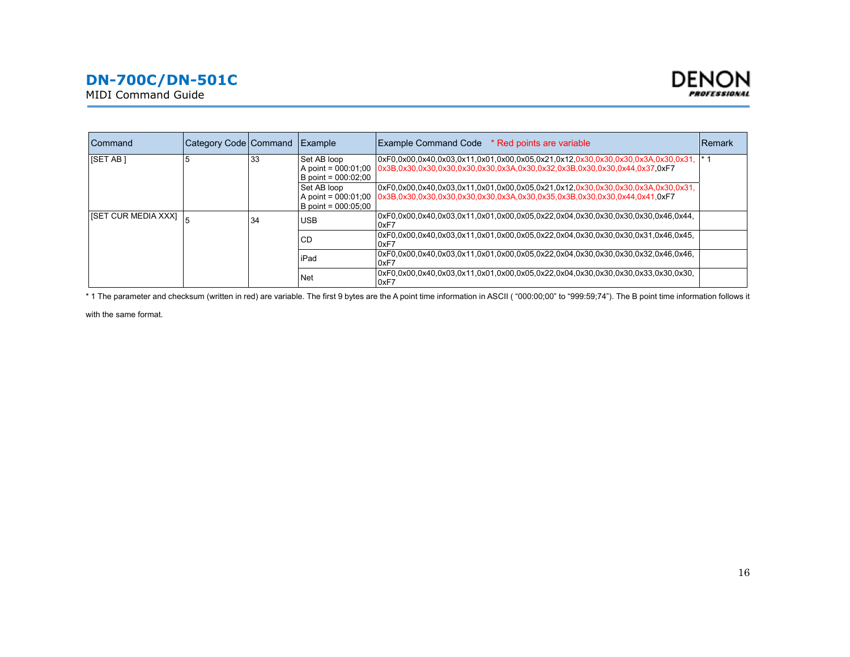



| Command                                        | Category Code Command Example |    |                                                             | Example Command Code * Red points are variable                                                                                                                                     | Remark          |
|------------------------------------------------|-------------------------------|----|-------------------------------------------------------------|------------------------------------------------------------------------------------------------------------------------------------------------------------------------------------|-----------------|
| <b>ISET AB1</b>                                |                               | 33 | Set AB loop<br>A point = $000:01:00$<br>B point = 000:02:00 | 0xF0.0x00.0x40.0x03.0x11.0x01.0x00.0x05.0x21.0x12.0x30.0x30.0x30.0x3A.0x30.0x31.<br>0x3B,0x30,0x30,0x30,0x30,0x30,0x3A,0x30,0x32,0x3B,0x30,0x30,0x44,0x37,0xF7                     | $\cdot$ $\cdot$ |
|                                                |                               |    | Set AB loop<br>B point = 000:05:00                          | 0xF0.0x00.0x40.0x03.0x11.0x01.0x00.0x05.0x21.0x12.0x30.0x30.0x30.0x3A.0x30.0x31.<br>A point = 000:01:00 0x3B,0x30,0x30,0x30,0x30,0x30,0x3A,0x30,0x35,0x3B,0x30,0x30,0x44,0x41,0xF7 |                 |
| <b>ISET CUR MEDIA XXXI</b> $\left _{5}\right $ |                               | 34 | USB                                                         | .0xF0.0x00.0x40.0x03.0x11.0x01.0x00.0x05.0x22.0x04.0x30.0x30.0x30.0x30.0x46.0x44<br>0xF7                                                                                           |                 |
|                                                |                               |    | CD                                                          | .0xF0.0x00.0x40.0x03.0x11.0x01.0x00.0x05.0x22.0x04.0x30.0x30.0x30.0x31.0x46.0x45<br>0xF7                                                                                           |                 |
|                                                |                               |    | iPad                                                        | .0xF0.0x00.0x40.0x03.0x11.0x01.0x00.0x05.0x22.0x04.0x30.0x30.0x30.0x32.0x46.0x46<br>0xF7                                                                                           |                 |
|                                                |                               |    | <b>Net</b>                                                  | .00xF0.0x00.0x40.0x03.0x11.0x01.0x00.0x05.0x22.0x04.0x30.0x30.0x30.0x33.0x30.0x30<br>10xF7                                                                                         |                 |

\* 1 The parameter and checksum (written in red) are variable. The first 9 bytes are the A point time information in ASCII ("000:00;00" to "999:59;74"). The B point time information follows it

with the same format.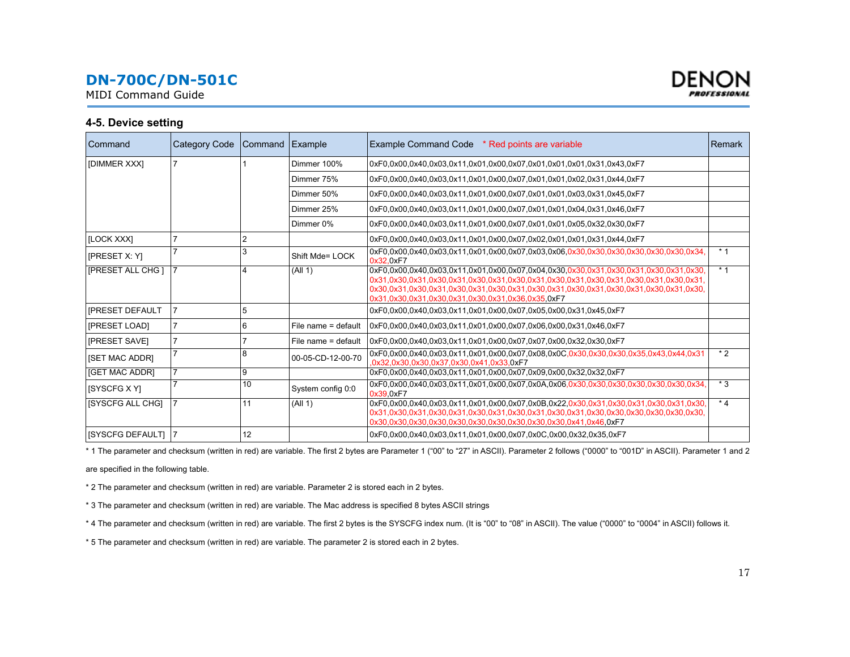<span id="page-16-0"></span>MIDI Command Guide



#### **4-5. Device setting**

| Command                    | <b>Category Code</b> | Command Example |                     | Example Command Code * Red points are variable                                                                                                                                                                                                                                                                               | <b>Remark</b> |
|----------------------------|----------------------|-----------------|---------------------|------------------------------------------------------------------------------------------------------------------------------------------------------------------------------------------------------------------------------------------------------------------------------------------------------------------------------|---------------|
| [DIMMER XXX]               |                      |                 | Dimmer 100%         | 0xF0.0x00.0x40.0x03.0x11.0x01.0x00.0x07.0x01.0x01.0x01.0x31.0x43.0xF7                                                                                                                                                                                                                                                        |               |
|                            |                      |                 | Dimmer 75%          | 0xF0.0x00.0x40.0x03.0x11.0x01.0x00.0x07.0x01.0x01.0x02.0x31.0x44.0xF7                                                                                                                                                                                                                                                        |               |
|                            |                      |                 | Dimmer 50%          | 0xF0.0x00.0x40.0x03.0x11.0x01.0x00.0x07.0x01.0x01.0x03.0x31.0x45.0xF7                                                                                                                                                                                                                                                        |               |
|                            |                      |                 | Dimmer 25%          | 0xF0.0x00.0x40.0x03.0x11.0x01.0x00.0x07.0x01.0x01.0x04.0x31.0x46.0xF7                                                                                                                                                                                                                                                        |               |
|                            |                      |                 | Dimmer 0%           | 0xF0.0x00.0x40.0x03.0x11.0x01.0x00.0x07.0x01.0x01.0x05.0x32.0x30.0xF7                                                                                                                                                                                                                                                        |               |
| [LOCK XXX]                 |                      |                 |                     | 0xF0.0x00.0x40.0x03.0x11.0x01.0x00.0x07.0x02.0x01.0x01.0x31.0x44.0xF7                                                                                                                                                                                                                                                        |               |
| <b>[PRESET X: Y]</b>       |                      | 3               | Shift Mde= LOCK     | 0x32.0xF7                                                                                                                                                                                                                                                                                                                    | $*1$          |
| [PRESET ALL CHG]           |                      |                 | (A   1)             | .0xF0.0x00.0x40.0x03.0x11.0x01.0x00.0x07.0x04.0x30.0x30.0x31.0x30.0x31.0x30.0x31.0x30<br>0x31,0x30,0x31,0x30,0x31,0x30,0x31,0x30,0x31,0x30,0x31,0x30,0x31,0x30,0x31,0x30,0x31,<br>.0x30.0x31.0x30.0x31.0x30.0x31.0x30.0x31.0x30.0x31.0x30.0x31.0x30.0x31.0x30.0x31.0x30<br>0x31.0x30.0x31.0x30.0x31.0x30.0x31.0x36.0x35.0xF7 | $*1$          |
| <b>IPRESET DEFAULT</b>     | $\overline{7}$       | 5               |                     | 0xF0.0x00.0x40.0x03.0x11.0x01.0x00.0x07.0x05.0x00.0x31.0x45.0xF7                                                                                                                                                                                                                                                             |               |
| [PRESET LOAD]              |                      | 6               | File name = default | 0xF0.0x00.0x40.0x03.0x11.0x01.0x00.0x07.0x06.0x00.0x31.0x46.0xF7                                                                                                                                                                                                                                                             |               |
| <b>IPRESET SAVEI</b>       |                      |                 | File name = default | 0xF0.0x00.0x40.0x03.0x11.0x01.0x00.0x07.0x07.0x00.0x32.0x30.0xF7                                                                                                                                                                                                                                                             |               |
| <b>ISET MAC ADDRI</b>      |                      | 8               | 00-05-CD-12-00-70   | 0xF0.0x00.0x40.0x03.0x11.0x01.0x00.0x07.0x08.0x0C.0x30.0x30.0x30.0x35.0x43.0x44.0x31<br>.0x32.0x30.0x30.0x37.0x30.0x41.0x33.0xF7                                                                                                                                                                                             | $*2$          |
| [GET MAC ADDR]             | 17                   | 9               |                     | 0xF0.0x00.0x40.0x03.0x11.0x01.0x00.0x07.0x09.0x00.0x32.0x32.0xF7                                                                                                                                                                                                                                                             |               |
| <b>ISYSCFG X YI</b>        |                      | 10              | System config 0:0   | 0x39.0xF7                                                                                                                                                                                                                                                                                                                    | $*3$          |
| <b>ISYSCFG ALL CHGI</b>    |                      | 11              | (A   1)             | 0xF0,0x00,0x40,0x03,0x11,0x01,0x00,0x07,0x0B,0x22,0x30,0x31,0x30,0x31,0x30,0x31,0x30,                                                                                                                                                                                                                                        | $*_{4}$       |
| <b>ISYSCFG DEFAULTI 17</b> |                      | 12              |                     | 0xF0.0x00.0x40.0x03.0x11.0x01.0x00.0x07.0x0C.0x00.0x32.0x35.0xF7                                                                                                                                                                                                                                                             |               |

\* 1 The parameter and checksum (written in red) are variable. The first 2 bytes are Parameter 1 ("00" to "27" in ASCII). Parameter 2 follows ("0000" to "001D" in ASCII). Parameter 1 and 2

are specified in the following table.

\* 2 The parameter and checksum (written in red) are variable. Parameter 2 is stored each in 2 bytes.

\* 3 The parameter and checksum (written in red) are variable. The Mac address is specified 8 bytes ASCII strings

\* 4 The parameter and checksum (written in red) are variable. The first 2 bytes is the SYSCFG index num. (It is "00" to "08" in ASCII). The value ("0000" to "0004" in ASCII) follows it.

\* 5 The parameter and checksum (written in red) are variable. The parameter 2 is stored each in 2 bytes.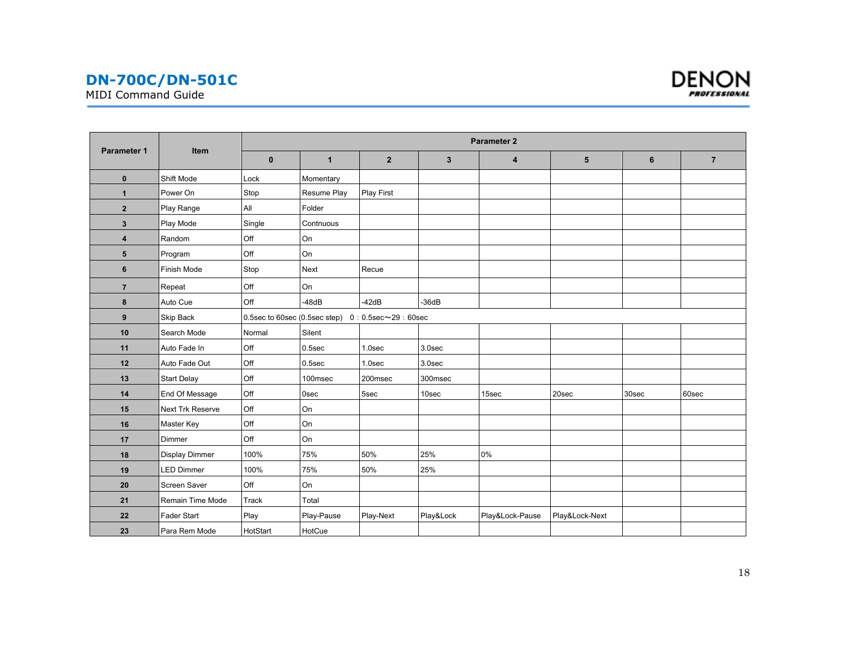MIDI Command Guide



|                |                         | <b>Parameter 2</b> |                                                           |                   |              |                 |                |                |                |  |
|----------------|-------------------------|--------------------|-----------------------------------------------------------|-------------------|--------------|-----------------|----------------|----------------|----------------|--|
| Parameter 1    | Item                    | $\mathbf{0}$       | $\mathbf{1}$                                              | $\mathbf{2}$      | $\mathbf{3}$ | 4               | 5              | $6\phantom{1}$ | $\overline{7}$ |  |
| $\pmb{0}$      | Shift Mode              | Lock               | Momentary                                                 |                   |              |                 |                |                |                |  |
| $\mathbf{1}$   | Power On                | Stop               | Resume Play                                               | <b>Play First</b> |              |                 |                |                |                |  |
| $\overline{2}$ | Play Range              | All                | Folder                                                    |                   |              |                 |                |                |                |  |
| $\mathbf{3}$   | Play Mode               | Single             | Contnuous                                                 |                   |              |                 |                |                |                |  |
| 4              | Random                  | Off                | On                                                        |                   |              |                 |                |                |                |  |
| $5\phantom{1}$ | Program                 | Off                | On                                                        |                   |              |                 |                |                |                |  |
| 6              | Finish Mode             | Stop               | Next                                                      | Recue             |              |                 |                |                |                |  |
| $\overline{7}$ | Repeat                  | Off                | On                                                        |                   |              |                 |                |                |                |  |
| 8              | Auto Cue                | Off                | $-48dB$                                                   | $-42dB$           | $-36dB$      |                 |                |                |                |  |
| 9              | Skip Back               |                    | 0.5sec to 60sec (0.5sec step) $0:0.5$ sec $\sim$ 29:60sec |                   |              |                 |                |                |                |  |
| 10             | Search Mode             | Normal             | Silent                                                    |                   |              |                 |                |                |                |  |
| 11             | Auto Fade In            | Off                | $0.5$ sec                                                 | 1.0sec            | 3.0sec       |                 |                |                |                |  |
| 12             | Auto Fade Out           | Off                | $0.5$ sec                                                 | 1.0sec            | 3.0sec       |                 |                |                |                |  |
| 13             | <b>Start Delay</b>      | Off                | 100msec                                                   | 200msec           | 300msec      |                 |                |                |                |  |
| 14             | End Of Message          | Off                | 0sec                                                      | 5sec              | 10sec        | 15sec           | 20sec          | 30sec          | 60sec          |  |
| 15             | <b>Next Trk Reserve</b> | Off                | On                                                        |                   |              |                 |                |                |                |  |
| 16             | Master Key              | Off                | On                                                        |                   |              |                 |                |                |                |  |
| 17             | Dimmer                  | Off                | On                                                        |                   |              |                 |                |                |                |  |
| 18             | <b>Display Dimmer</b>   | 100%               | 75%                                                       | 50%               | 25%          | 0%              |                |                |                |  |
| 19             | <b>LED Dimmer</b>       | 100%               | 75%                                                       | 50%               | 25%          |                 |                |                |                |  |
| 20             | Screen Saver            | Off                | On                                                        |                   |              |                 |                |                |                |  |
| 21             | Remain Time Mode        | Track              | Total                                                     |                   |              |                 |                |                |                |  |
| 22             | Fader Start             | Play               | Play-Pause                                                | Play-Next         | Play&Lock    | Play&Lock-Pause | Play&Lock-Next |                |                |  |
| 23             | Para Rem Mode           | HotStart           | HotCue                                                    |                   |              |                 |                |                |                |  |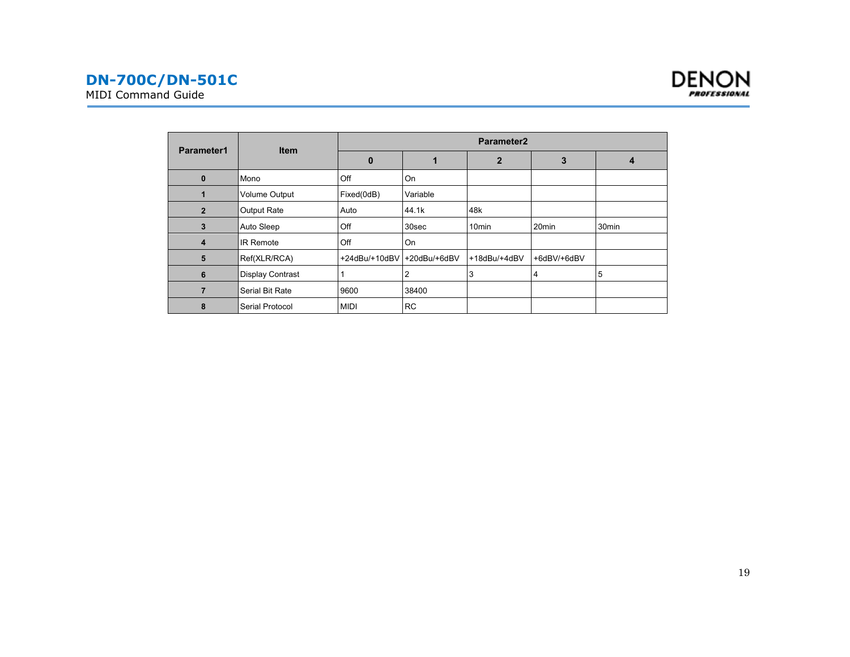



|                | <b>Item</b>             | Parameter <sub>2</sub>     |           |                   |                   |                   |  |  |
|----------------|-------------------------|----------------------------|-----------|-------------------|-------------------|-------------------|--|--|
| Parameter1     |                         | $\mathbf 0$                |           | $\mathbf{2}$      | 3                 | 4                 |  |  |
| $\bf{0}$       | Mono                    | Off                        | On        |                   |                   |                   |  |  |
|                | Volume Output           | Fixed(0dB)                 | Variable  |                   |                   |                   |  |  |
| $\overline{2}$ | <b>Output Rate</b>      | Auto                       | 44.1k     | 48k               |                   |                   |  |  |
| 3              | Auto Sleep              | Off                        | 30sec     | 10 <sub>min</sub> | 20 <sub>min</sub> | 30 <sub>min</sub> |  |  |
| 4              | <b>IR Remote</b>        | Off                        | On        |                   |                   |                   |  |  |
| 5              | Ref(XLR/RCA)            | +24dBu/+10dBV +20dBu/+6dBV |           | +18dBu/+4dBV      | +6dBV/+6dBV       |                   |  |  |
| 6              | <b>Display Contrast</b> |                            | 2         | 3                 | 4                 | 5                 |  |  |
|                | Serial Bit Rate         | 9600                       | 38400     |                   |                   |                   |  |  |
| 8              | Serial Protocol         | <b>MIDI</b>                | <b>RC</b> |                   |                   |                   |  |  |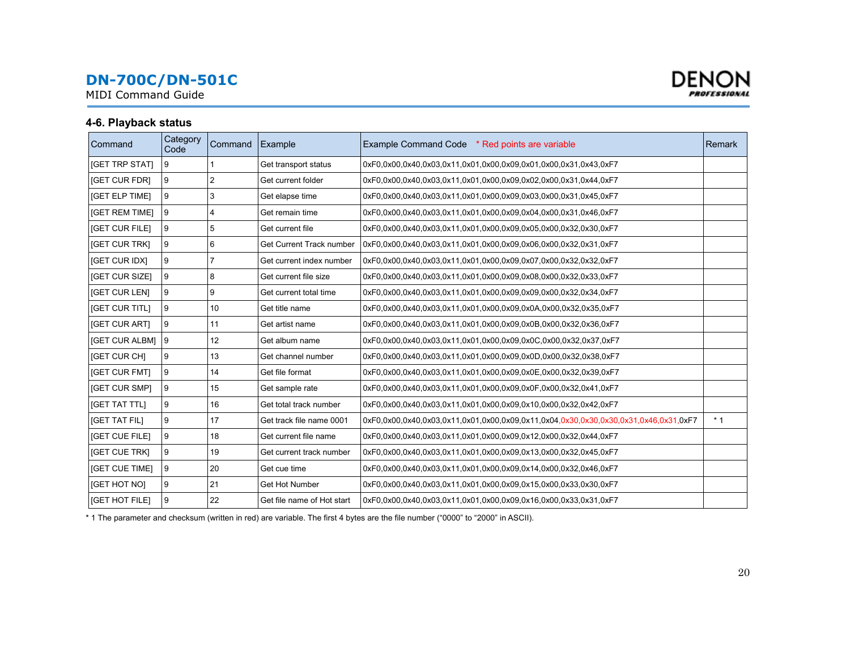<span id="page-19-0"></span>MIDI Command Guide



#### **4-6. Playback status**

| Command               | Category<br>Code | Command        | Example                         | Example Command Code * Red points are variable                                       | Remark |
|-----------------------|------------------|----------------|---------------------------------|--------------------------------------------------------------------------------------|--------|
| [GET TRP STAT]        | 9                |                | Get transport status            | 0xF0.0x00.0x40.0x03.0x11.0x01.0x00.0x09.0x01.0x00.0x31.0x43.0xF7                     |        |
| [GET CUR FDR]         | 9                | $\overline{2}$ | Get current folder              | 0xF0.0x00.0x40.0x03.0x11.0x01.0x00.0x09.0x02.0x00.0x31.0x44.0xF7                     |        |
| [GET ELP TIME]        | 9                | 3              | Get elapse time                 | 0xF0.0x00.0x40.0x03.0x11.0x01.0x00.0x09.0x03.0x00.0x31.0x45.0xF7                     |        |
| [GET REM TIME]        | 9                | 4              | Get remain time                 | 0xF0,0x00,0x40,0x03,0x11,0x01,0x00,0x09,0x04,0x00,0x31,0x46,0xF7                     |        |
| [GET CUR FILE]        | 9                | 5              | Get current file                | 0xF0.0x00.0x40.0x03.0x11.0x01.0x00.0x09.0x05.0x00.0x32.0x30.0xF7                     |        |
| <b>IGET CUR TRKI</b>  | 9                | 6              | <b>Get Current Track number</b> | 0xF0.0x00.0x40.0x03.0x11.0x01.0x00.0x09.0x06.0x00.0x32.0x31.0xF7                     |        |
| <b>IGET CUR IDXI</b>  | 9                | 7              | Get current index number        | 0xF0.0x00.0x40.0x03.0x11.0x01.0x00.0x09.0x07.0x00.0x32.0x32.0xF7                     |        |
| [GET CUR SIZE]        | 9                | 8              | Get current file size           | 0xF0,0x00,0x40,0x03,0x11,0x01,0x00,0x09,0x08,0x00,0x32,0x33,0xF7                     |        |
| [GET CUR LEN]         | 9                | 9              | Get current total time          | 0xF0,0x00,0x40,0x03,0x11,0x01,0x00,0x09,0x09,0x00,0x32,0x34,0xF7                     |        |
| <b>IGET CUR TITLI</b> | 9                | 10             | Get title name                  | 0xF0.0x00.0x40.0x03.0x11.0x01.0x00.0x09.0x0A.0x00.0x32.0x35.0xF7                     |        |
| <b>IGET CUR ARTI</b>  | 9                | 11             | Get artist name                 | 0xF0.0x00.0x40.0x03.0x11.0x01.0x00.0x09.0x0B.0x00.0x32.0x36.0xF7                     |        |
| <b>IGET CUR ALBMI</b> | 9                | 12             | Get album name                  | 0xF0.0x00.0x40.0x03.0x11.0x01.0x00.0x09.0x0C.0x00.0x32.0x37.0xF7                     |        |
| <b>IGET CUR CHI</b>   | 9                | 13             | Get channel number              | 0xF0.0x00.0x40.0x03.0x11.0x01.0x00.0x09.0x0D.0x00.0x32.0x38.0xF7                     |        |
| <b>IGET CUR FMTI</b>  | 9                | 14             | Get file format                 | 0xF0.0x00.0x40.0x03.0x11.0x01.0x00.0x09.0x0E.0x00.0x32.0x39.0xF7                     |        |
| [GET CUR SMP]         | 9                | 15             | Get sample rate                 | 0xF0.0x00.0x40.0x03.0x11.0x01.0x00.0x09.0x0F.0x00.0x32.0x41.0xF7                     |        |
| <b>IGET TAT TTLI</b>  | 9                | 16             | Get total track number          | 0xF0.0x00.0x40.0x03.0x11.0x01.0x00.0x09.0x10.0x00.0x32.0x42.0xF7                     |        |
| <b>IGET TAT FILI</b>  | 9                | 17             | Get track file name 0001        | 0xF0.0x00.0x40.0x03.0x11.0x01.0x00.0x09.0x11.0x04.0x30.0x30.0x30.0x31.0x46.0x31.0xF7 | $*1$   |
| <b>[GET CUE FILE]</b> | 9                | 18             | Get current file name           | 0xF0.0x00.0x40.0x03.0x11.0x01.0x00.0x09.0x12.0x00.0x32.0x44.0xF7                     |        |
| [GET CUE TRK]         | 9                | 19             | Get current track number        | 0xF0,0x00,0x40,0x03,0x11,0x01,0x00,0x09,0x13,0x00,0x32,0x45,0xF7                     |        |
| <b>IGET CUE TIMEI</b> | 9                | 20             | Get cue time                    | 0xF0.0x00.0x40.0x03.0x11.0x01.0x00.0x09.0x14.0x00.0x32.0x46.0xF7                     |        |
| [GET HOT NO]          | 9                | 21             | Get Hot Number                  | 0xF0,0x00,0x40,0x03,0x11,0x01,0x00,0x09,0x15,0x00,0x33,0x30,0xF7                     |        |
| [GET HOT FILE]        | 9                | 22             | Get file name of Hot start      | 0xF0,0x00,0x40,0x03,0x11,0x01,0x00,0x09,0x16,0x00,0x33,0x31,0xF7                     |        |

\* 1 The parameter and checksum (written in red) are variable. The first 4 bytes are the file number ("0000" to "2000" in ASCII).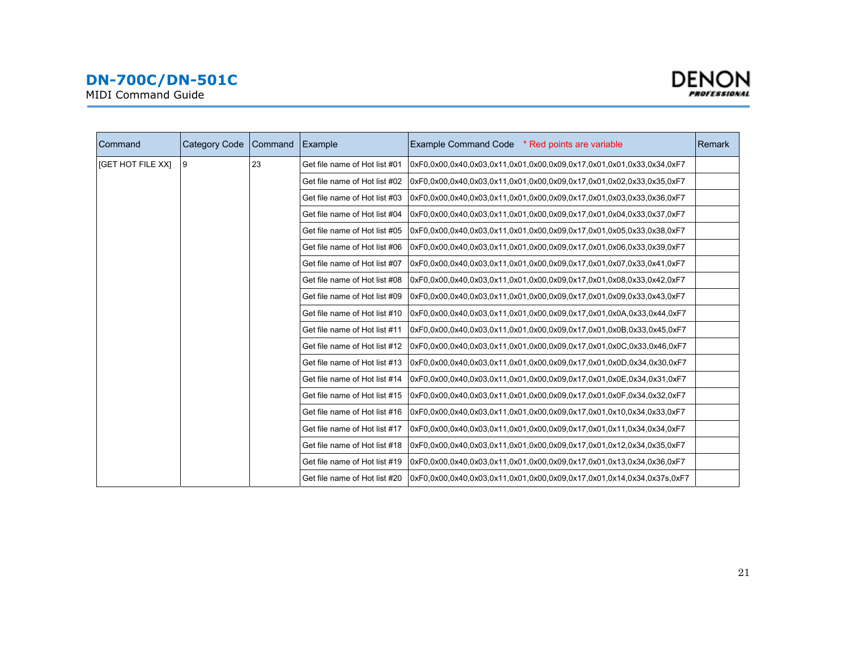

MIDI Command Guide

| Command           | Category Code | Command Example               |                                                                       | Example Command Code * Red points are variable                         | Remark |
|-------------------|---------------|-------------------------------|-----------------------------------------------------------------------|------------------------------------------------------------------------|--------|
| [GET HOT FILE XX] | 9             | 23                            | Get file name of Hot list #01                                         | 0xF0.0x00.0x03.0x11.0x01.0x00.0x09.0x17.0x01.0x01.0x33.0x34.0xF7       |        |
|                   |               |                               | Get file name of Hot list #02                                         | 0xF0.0x00.0x40.0x03.0x11.0x01.0x00.0x09.0x17.0x01.0x02.0x33.0x35.0xF7  |        |
|                   |               |                               | Get file name of Hot list #03                                         | 0xF0.0x00.0x40.0x03.0x11.0x01.0x00.0x09.0x17.0x01.0x03.0x33.0x36.0xF7  |        |
|                   |               |                               | Get file name of Hot list #04                                         | 0xF0.0x00.0x40.0x03.0x11.0x01.0x00.0x09.0x17.0x01.0x04.0x33.0x37.0xF7  |        |
|                   |               |                               | Get file name of Hot list #05                                         | 0xF0.0x00.0x40.0x03.0x11.0x01.0x00.0x09.0x17.0x01.0x05.0x33.0x38.0xF7  |        |
|                   |               |                               | Get file name of Hot list #06                                         | 0xF0.0x00.0x40.0x03.0x11.0x01.0x00.0x09.0x17.0x01.0x06.0x33.0x39.0xF7  |        |
|                   |               |                               | Get file name of Hot list #07                                         | 0xF0.0x00.0x40.0x03.0x11.0x01.0x00.0x09.0x17.0x01.0x07.0x33.0x41.0xF7  |        |
|                   |               |                               | Get file name of Hot list #08                                         | 0xF0.0x00.0x40.0x03.0x11.0x01.0x00.0x09.0x17.0x01.0x08.0x33.0x42.0xF7  |        |
|                   |               |                               | Get file name of Hot list #09                                         | 0xF0.0x00.0x40.0x03.0x11.0x01.0x00.0x09.0x17.0x01.0x09.0x33.0x43.0xF7  |        |
|                   |               |                               | Get file name of Hot list #10                                         | 0xF0.0x00.0x40.0x03.0x11.0x01.0x00.0x09.0x17.0x01.0x0A.0x33.0x44.0xF7  |        |
|                   |               | Get file name of Hot list #11 | 0xF0.0x00.0x40.0x03.0x11.0x01.0x00.0x09.0x17.0x01.0x0B.0x33.0x45.0xF7 |                                                                        |        |
|                   |               |                               | Get file name of Hot list #12                                         | 0xF0.0x00.0x40.0x03.0x11.0x01.0x00.0x09.0x17.0x01.0x0C.0x33.0x46.0xF7  |        |
|                   |               |                               | Get file name of Hot list #13                                         | 0xF0,0x00,0x40,0x03,0x11,0x01,0x00,0x09,0x17,0x01,0x0D,0x34,0x30,0xF7  |        |
|                   |               |                               | Get file name of Hot list #14                                         | 0xF0.0x00.0x40.0x03.0x11.0x01.0x00.0x09.0x17.0x01.0x0E.0x34.0x31.0xF7  |        |
|                   |               |                               | Get file name of Hot list #15                                         | 0xF0,0x00,0x40,0x03,0x11,0x01,0x00,0x09,0x17,0x01,0x0F,0x34,0x32,0xF7  |        |
|                   |               |                               | Get file name of Hot list #16                                         | 0xF0.0x00.0x40.0x03.0x11.0x01.0x00.0x09.0x17.0x01.0x10.0x34.0x33.0xF7  |        |
|                   |               |                               | Get file name of Hot list #17                                         | 0xF0,0x00,0x40,0x03,0x11,0x01,0x00,0x09,0x17,0x01,0x11,0x34,0x34,0xF7  |        |
|                   |               |                               | Get file name of Hot list #18                                         | 0xF0.0x00.0x40.0x03.0x11.0x01.0x00.0x09.0x17.0x01.0x12.0x34.0x35.0xF7  |        |
|                   |               |                               | Get file name of Hot list #19                                         | 0xF0,0x00,0x40,0x03,0x11,0x01,0x00,0x09,0x17,0x01,0x13,0x34,0x36,0xF7  |        |
|                   |               |                               | Get file name of Hot list #20                                         | 0xF0.0x00.0x40.0x03.0x11.0x01.0x00.0x09.0x17.0x01.0x14.0x34.0x37s.0xF7 |        |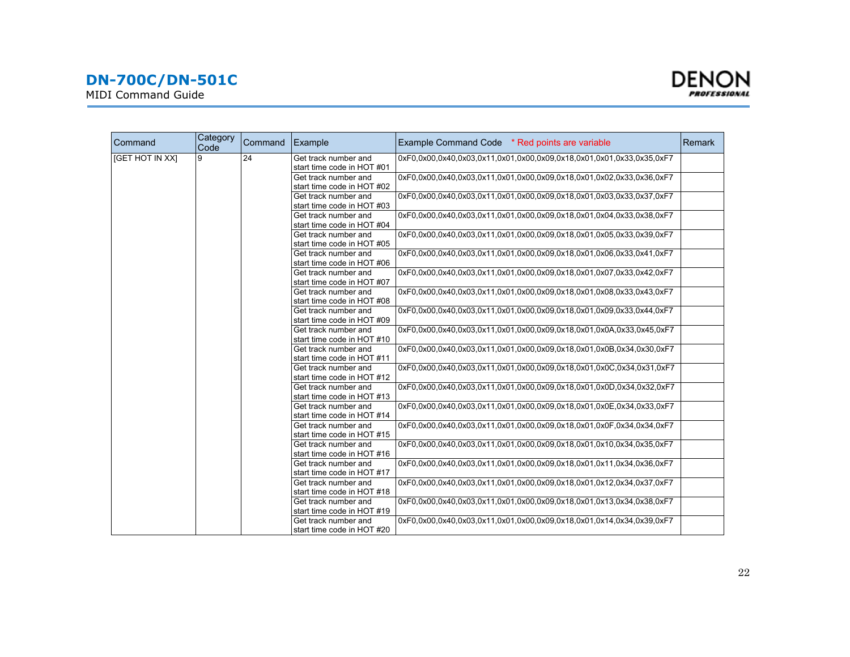MIDI Command Guide



| Command         | Category<br>Code | Command | Example                    | Example Command Code * Red points are variable                        | <b>Remark</b> |
|-----------------|------------------|---------|----------------------------|-----------------------------------------------------------------------|---------------|
| [GET HOT IN XX] | 9                | 24      | Get track number and       | 0xF0,0x00,0x40,0x03,0x11,0x01,0x00,0x09,0x18,0x01,0x01,0x33,0x35,0xF7 |               |
|                 |                  |         | start time code in HOT #01 |                                                                       |               |
|                 |                  |         | Get track number and       | 0xF0,0x00,0x40,0x03,0x11,0x01,0x00,0x09,0x18,0x01,0x02,0x33,0x36,0xF7 |               |
|                 |                  |         | start time code in HOT #02 |                                                                       |               |
|                 |                  |         | Get track number and       | 0xF0.0x00.0x40.0x03.0x11.0x01.0x00.0x09.0x18.0x01.0x03.0x33.0x37.0xF7 |               |
|                 |                  |         | start time code in HOT #03 |                                                                       |               |
|                 |                  |         | Get track number and       | 0xF0.0x00.0x40.0x03.0x11.0x01.0x00.0x09.0x18.0x01.0x04.0x33.0x38.0xF7 |               |
|                 |                  |         | start time code in HOT #04 |                                                                       |               |
|                 |                  |         | Get track number and       | 0xF0.0x00.0x40.0x03.0x11.0x01.0x00.0x09.0x18.0x01.0x05.0x33.0x39.0xF7 |               |
|                 |                  |         | start time code in HOT #05 |                                                                       |               |
|                 |                  |         | Get track number and       | 0xF0.0x00.0x40.0x03.0x11.0x01.0x00.0x09.0x18.0x01.0x06.0x33.0x41.0xF7 |               |
|                 |                  |         | start time code in HOT #06 |                                                                       |               |
|                 |                  |         | Get track number and       | 0xF0.0x00.0x40.0x03.0x11.0x01.0x00.0x09.0x18.0x01.0x07.0x33.0x42.0xF7 |               |
|                 |                  |         | start time code in HOT #07 |                                                                       |               |
|                 |                  |         | Get track number and       | 0xF0.0x00.0x40.0x03.0x11.0x01.0x00.0x09.0x18.0x01.0x08.0x33.0x43.0xF7 |               |
|                 |                  |         | start time code in HOT #08 |                                                                       |               |
|                 |                  |         | Get track number and       | 0xF0,0x00,0x40,0x03,0x11,0x01,0x00,0x09,0x18,0x01,0x09,0x33,0x44,0xF7 |               |
|                 |                  |         | start time code in HOT #09 |                                                                       |               |
|                 |                  |         | Get track number and       | 0xF0.0x00.0x40.0x03.0x11.0x01.0x00.0x09.0x18.0x01.0x0A.0x33.0x45.0xF7 |               |
|                 |                  |         | start time code in HOT #10 |                                                                       |               |
|                 |                  |         | Get track number and       | 0xF0.0x00.0x40.0x03.0x11.0x01.0x00.0x09.0x18.0x01.0x0B.0x34.0x30.0xF7 |               |
|                 |                  |         | start time code in HOT #11 |                                                                       |               |
|                 |                  |         | Get track number and       | 0xF0.0x00.0x40.0x03.0x11.0x01.0x00.0x09.0x18.0x01.0x0C.0x34.0x31.0xF7 |               |
|                 |                  |         | start time code in HOT #12 |                                                                       |               |
|                 |                  |         | Get track number and       | 0xF0.0x00.0x40.0x03.0x11.0x01.0x00.0x09.0x18.0x01.0x0D.0x34.0x32.0xF7 |               |
|                 |                  |         | start time code in HOT #13 |                                                                       |               |
|                 |                  |         | Get track number and       | 0xF0.0x00.0x40.0x03.0x11.0x01.0x00.0x09.0x18.0x01.0x0E.0x34.0x33.0xF7 |               |
|                 |                  |         | start time code in HOT #14 |                                                                       |               |
|                 |                  |         | Get track number and       | 0xF0.0x00.0x40.0x03.0x11.0x01.0x00.0x09.0x18.0x01.0x0F.0x34.0x34.0xF7 |               |
|                 |                  |         | start time code in HOT #15 |                                                                       |               |
|                 |                  |         | Get track number and       | 0xF0,0x00,0x40,0x03,0x11,0x01,0x00,0x09,0x18,0x01,0x10,0x34,0x35,0xF7 |               |
|                 |                  |         | start time code in HOT #16 |                                                                       |               |
|                 |                  |         | Get track number and       | 0xF0.0x00.0x40.0x03.0x11.0x01.0x00.0x09.0x18.0x01.0x11.0x34.0x36.0xF7 |               |
|                 |                  |         | start time code in HOT #17 |                                                                       |               |
|                 |                  |         | Get track number and       | 0xF0.0x00.0x40.0x03.0x11.0x01.0x00.0x09.0x18.0x01.0x12.0x34.0x37.0xF7 |               |
|                 |                  |         | start time code in HOT #18 |                                                                       |               |
|                 |                  |         | Get track number and       | 0xF0.0x00.0x40.0x03.0x11.0x01.0x00.0x09.0x18.0x01.0x13.0x34.0x38.0xF7 |               |
|                 |                  |         | start time code in HOT #19 |                                                                       |               |
|                 |                  |         | Get track number and       | 0xF0.0x00.0x40.0x03.0x11.0x01.0x00.0x09.0x18.0x01.0x14.0x34.0x39.0xF7 |               |
|                 |                  |         | start time code in HOT #20 |                                                                       |               |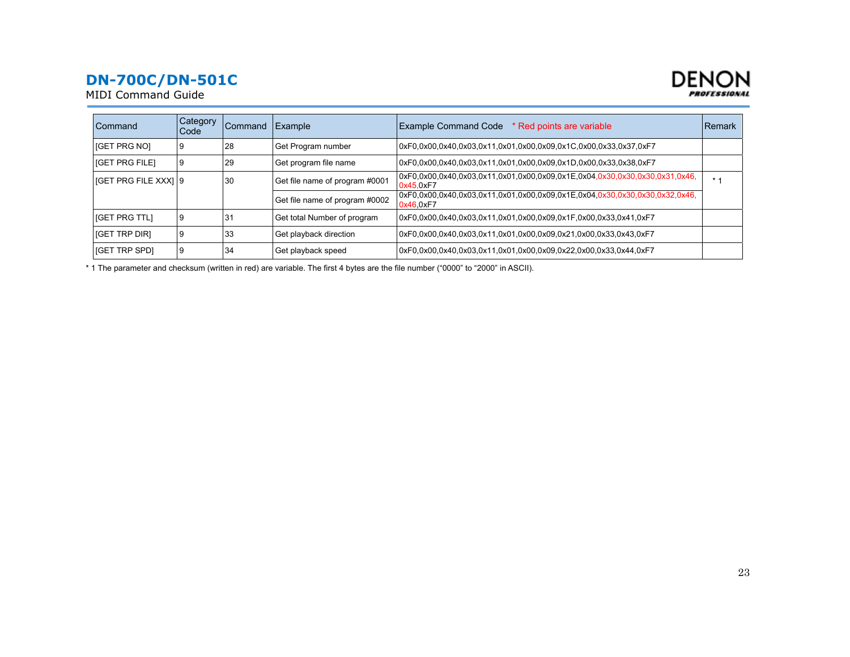



| Command                     | <b>Category</b><br>l Code | Command        | Example                        | <b>Example Command Code</b><br>* Red points are variable                                 | <b>Remark</b> |
|-----------------------------|---------------------------|----------------|--------------------------------|------------------------------------------------------------------------------------------|---------------|
| [GET PRG NO]                | 9                         | 28             | Get Program number             | 0xF0,0x00,0x40,0x03,0x11,0x01,0x00,0x09,0x1C,0x00,0x33,0x37,0xF7                         |               |
| <b>IGET PRG FILET</b>       | 9                         | 29             | Get program file name          | 0xF0.0x00.0x40.0x03.0x11.0x01.0x00.0x09.0x1D.0x00.0x33.0x38.0xF7                         |               |
| <b>IGET PRG FILE XXXI 9</b> |                           | 30             | Get file name of program #0001 | 0xF0,0x00,0x40,0x03,0x11,0x01,0x00,0x09,0x1E,0x04,0x30,0x30,0x30,0x31,0x46,<br>0x45.0xF7 | $*1$          |
|                             |                           |                | Get file name of program #0002 | 0xF0.0x00.0x40.0x03.0x11.0x01.0x00.0x09.0x1E.0x04.0x30.0x30.0x30.0x32.0x46.<br>0x46.0xF7 |               |
| <b>IGET PRG TTLI</b>        | 9                         | 3 <sup>1</sup> | Get total Number of program    | 0xF0,0x00,0x40,0x03,0x11,0x01,0x00,0x09,0x1F,0x00,0x33,0x41,0xF7                         |               |
| <b>IGET TRP DIRI</b>        | 9                         | 33             | Get playback direction         | 0xF0.0x00.0x40.0x03.0x11.0x01.0x00.0x09.0x21.0x00.0x33.0x43.0xF7                         |               |
| <b>IGET TRP SPDI</b>        | 9                         | 34             | Get playback speed             | 0xF0.0x00.0x40.0x03.0x11.0x01.0x00.0x09.0x22.0x00.0x33.0x44.0xF7                         |               |

\* 1 The parameter and checksum (written in red) are variable. The first 4 bytes are the file number ("0000" to "2000" in ASCII).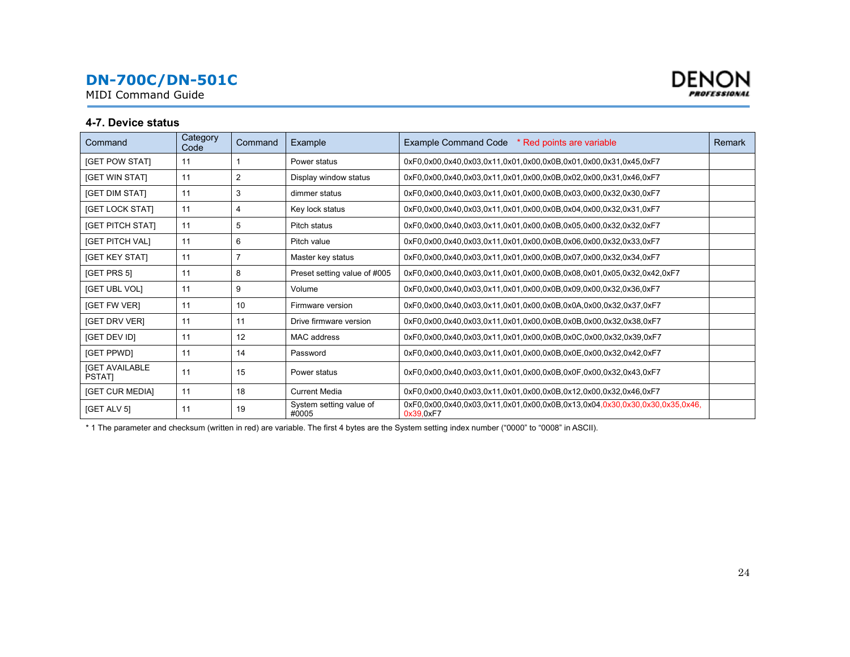<span id="page-23-0"></span>MIDI Command Guide



#### **4-7. Device status**

| Command                                | Category<br>Code | Command        | Example                          | Example Command Code * Red points are variable                                           | Remark |
|----------------------------------------|------------------|----------------|----------------------------------|------------------------------------------------------------------------------------------|--------|
| <b>IGET POW STATI</b>                  | 11               |                | Power status                     | 0xF0,0x00,0x40,0x03,0x11,0x01,0x00,0x0B,0x01,0x00,0x31,0x45,0xF7                         |        |
| <b>[GET WIN STAT]</b>                  | 11               | $\overline{2}$ | Display window status            | 0xF0.0x00.0x40.0x03.0x11.0x01.0x00.0x0B.0x02.0x00.0x31.0x46.0xF7                         |        |
| <b>[GET DIM STAT]</b>                  | 11               | 3              | dimmer status                    | 0xF0.0x00.0x40.0x03.0x11.0x01.0x00.0x0B.0x03.0x00.0x32.0x30.0xF7                         |        |
| <b>[GET LOCK STAT]</b>                 | 11               | 4              | Key lock status                  | 0xF0,0x00,0x40,0x03,0x11,0x01,0x00,0x0B,0x04,0x00,0x32,0x31,0xF7                         |        |
| <b>[GET PITCH STAT]</b>                | 11               | 5              | Pitch status                     | 0xF0,0x00,0x40,0x03,0x11,0x01,0x00,0x0B,0x05,0x00,0x32,0x32,0xF7                         |        |
| [GET PITCH VAL]                        | 11               | 6              | Pitch value                      | 0xF0,0x00,0x40,0x03,0x11,0x01,0x00,0x0B,0x06,0x00,0x32,0x33,0xF7                         |        |
| <b>[GET KEY STAT]</b>                  | 11               | $\overline{7}$ | Master key status                | 0xF0,0x00,0x40,0x03,0x11,0x01,0x00,0x0B,0x07,0x00,0x32,0x34,0xF7                         |        |
| <b>IGET PRS 51</b>                     | 11               | 8              | Preset setting value of #005     | 0xF0.0x00.0x40.0x03.0x11.0x01.0x00.0x0B.0x08.0x01.0x05.0x32.0x42.0xF7                    |        |
| [GET UBL VOL]                          | 11               | 9              | Volume                           | 0xF0.0x00.0x40.0x03.0x11.0x01.0x00.0x0B.0x09.0x00.0x32.0x36.0xF7                         |        |
| <b>IGET FW VERI</b>                    | 11               | 10             | Firmware version                 | 0xF0,0x00,0x40,0x03,0x11,0x01,0x00,0x0B,0x0A,0x00,0x32,0x37,0xF7                         |        |
| [GET DRV VER]                          | 11               | 11             | Drive firmware version           | 0xF0,0x00,0x40,0x03,0x11,0x01,0x00,0x0B,0x0B,0x00,0x32,0x38,0xF7                         |        |
| <b>IGET DEV IDI</b>                    | 11               | 12             | MAC address                      | 0xF0.0x00.0x40.0x03.0x11.0x01.0x00.0x0B.0x0C.0x00.0x32.0x39.0xF7                         |        |
| [GET PPWD]                             | 11               | 14             | Password                         | 0xF0.0x00.0x40.0x03.0x11.0x01.0x00.0x0B.0x0E.0x00.0x32.0x42.0xF7                         |        |
| <b>IGET AVAILABLE</b><br><b>PSTATI</b> | 11               | 15             | Power status                     | 0xF0.0x00.0x40.0x03.0x11.0x01.0x00.0x0B.0x0F.0x00.0x32.0x43.0xF7                         |        |
| [GET CUR MEDIA]                        | 11               | 18             | <b>Current Media</b>             | 0xF0,0x00,0x40,0x03,0x11,0x01,0x00,0x0B,0x12,0x00,0x32,0x46,0xF7                         |        |
| [GET ALV 5]                            | 11               | 19             | System setting value of<br>#0005 | 0xF0,0x00,0x40,0x03,0x11,0x01,0x00,0x0B,0x13,0x04,0x30,0x30,0x30,0x35,0x46,<br>0x39.0xF7 |        |

\* 1 The parameter and checksum (written in red) are variable. The first 4 bytes are the System setting index number ("0000" to "0008" in ASCII).